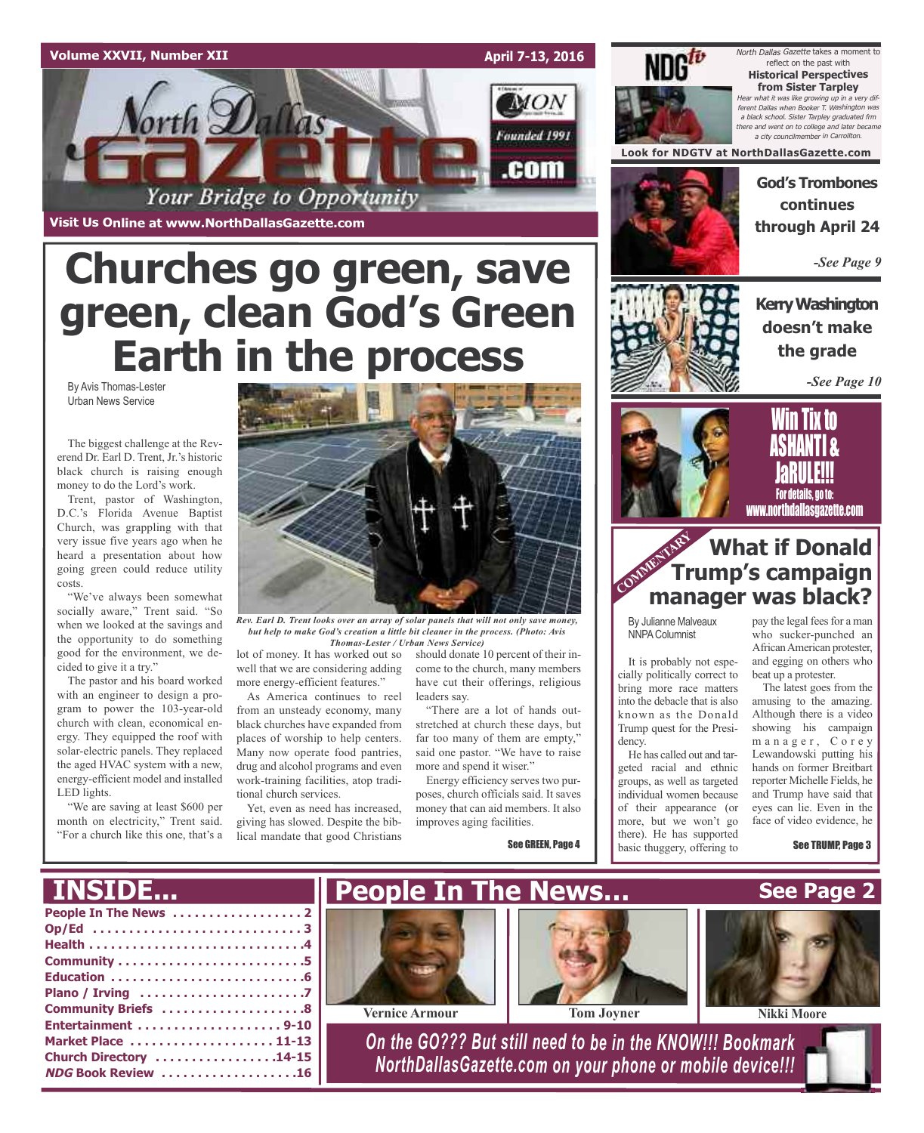### **Volume XXVII, Number XII**

**Visit Us Online at www.NorthDallasGazette.com**

*lorth Dallas* 

**April 7-13, 2016**

**MON** 

Founded 1991

.com



North Dallas Gazette takes a moment to reflect on the past with **Historical Perspectives from Sister Tarpley** Hear what it was like growing up in <sup>a</sup> very different Dallas when Booker T. Washington was <sup>a</sup> black school. Sister Tarpley graduated frm there and went on to college and later became a city councilmember in Carroll

**Look for NDGTV at NorthDallasGazette.com**

**God's Trombones continues through April 24**

*-See Page 9*

**KerryWashington doesn't make the grade**

*-See Page 10*



**Tix to** ASHANTI & JaRULE!!! For details, go to: www.northdallasgazette.com

### **What if Donald Trump's campaign manager was black? COMMENTARY**

By Julianne Malveaux NNPAColumnist

It is probably not especially politically correct to bring more race matters into the debacle that is also known as the Donald Trump quest for the Presidency.

He has called out and targeted racial and ethnic groups, as well as targeted individual women because of their appearance (or more, but we won't go there). He has supported basic thuggery, offering to

pay the legal fees for a man who sucker-punched an African American protester, and egging on others who beat up a protester.

The latest goes from the amusing to the amazing. Although there is a video showing his campaign manager, Corey Lewandowski putting his hands on former Breitbart reporter Michelle Fields, he and Trump have said that eyes can lie. Even in the face of video evidence, he

See TRUMP, Page 3

By Avis Thomas-Lester Urban News Service The biggest challenge at the Reverend Dr. Earl D. Trent, Jr.'s historic **green, clean God's Green Earth in the process**

**Churches go green, save**

Your Bridge to Opportunity

black church is raising enough money to do the Lord's work. Trent, pastor of Washington, D.C.'s Florida Avenue Baptist Church, was grappling with that very issue five years ago when he heard a presentation about how

going green could reduce utility costs. "We've always been somewhat

socially aware," Trent said. "So when we looked at the savings and the opportunity to do something good for the environment, we decided to give it a try."

The pastor and his board worked with an engineer to design a program to power the 103-year-old church with clean, economical energy. They equipped the roof with solar-electric panels. They replaced the aged HVAC system with a new, energy-efficient model and installed LED lights.

"We are saving at least \$600 per month on electricity," Trent said. "For a church like this one, that's a



*Rev. Earl D. Trent looks over an array of solar panels that will not only save money, but help to make God's creation a little bit cleaner in the process. (Photo: Avis Thomas-Lester / Urban News Service)*

lot of money. It has worked out so well that we are considering adding more energy-efficient features."

As America continues to reel from an unsteady economy, many black churches have expanded from places of worship to help centers. Many now operate food pantries, drug and alcohol programs and even work-training facilities, atop traditional church services.

Yet, even as need has increased, giving has slowed. Despite the biblical mandate that good Christians should donate 10 percent of their income to the church, many members have cut their offerings, religious leaders say.

"There are a lot of hands outstretched at church these days, but far too many of them are empty," said one pastor. "We have to raise more and spend it wiser."

Energy efficiency serves two purposes, church officials said. It saves money that can aid members. It also improves aging facilities.

See GREEN, Page 4

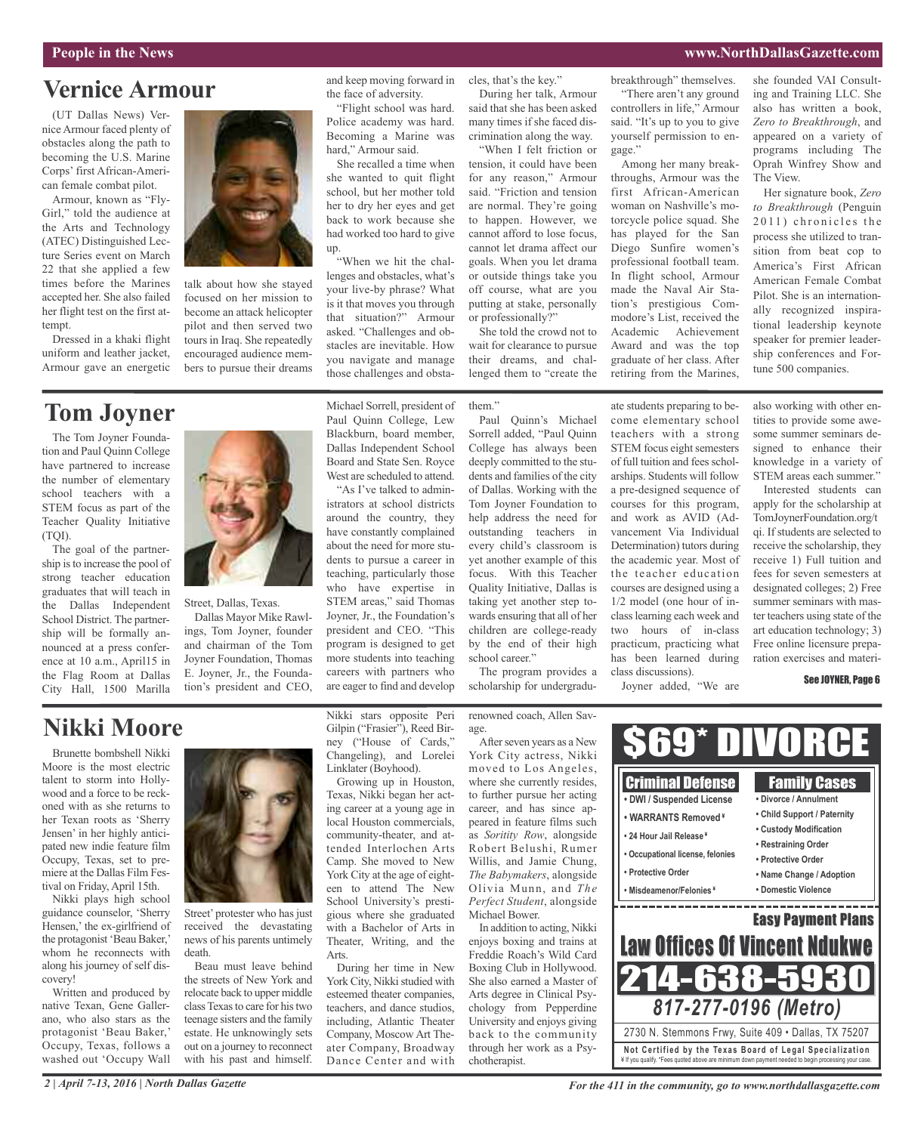#### **People in the News www.NorthDallasGazette.com**

The View.

she founded VAI Consulting and Training LLC. She also has written a book, *Zero to Breakthrough*, and appeared on a variety of programs including The Oprah Winfrey Show and

Her signature book, *Zero to Breakthrough* (Penguin  $2011$ ) chronicles the process she utilized to transition from beat cop to America's First African American Female Combat Pilot. She is an internation-

### **Vernice Armour**

(UT Dallas News) Vernice Armour faced plenty of obstacles along the path to becoming the U.S. Marine Corps' first African-American female combat pilot.

Armour, known as "Fly-Girl," told the audience at the Arts and Technology (ATEC) Distinguished Lecture Series event on March 22 that she applied a few times before the Marines accepted her. She also failed her flight test on the first attempt

Dressed in a khaki flight uniform and leather jacket, Armour gave an energetic

### **Tom Joyner**

The Tom Joyner Foundation and Paul Quinn College have partnered to increase the number of elementary school teachers with a STEM focus as part of the Teacher Quality Initiative (TQI).

The goal of the partnership isto increase the pool of strong teacher education graduates that will teach in the Dallas Independent School District. The partnership will be formally announced at a press conference at 10 a.m., April15 in the Flag Room at Dallas City Hall, 1500 Marilla



talk about how she stayed focused on her mission to become an attack helicopter pilot and then served two tours in Iraq. She repeatedly encouraged audience members to pursue their dreams

and keep moving forward in the face of adversity.

"Flight school was hard. Police academy was hard. Becoming a Marine was hard," Armour said.

She recalled a time when she wanted to quit flight school, but her mother told her to dry her eyes and get back to work because she had worked too hard to give up.

"When we hit the challenges and obstacles, what's your live-by phrase? What is it that moves you through that situation?" Armour asked. "Challenges and obstacles are inevitable. How you navigate and manage those challenges and obsta-

Michael Sorrell, president of Paul Quinn College, Lew Blackburn, board member, Dallas Independent School Board and State Sen. Royce

West are scheduled to attend. "As I've talked to administrators at school districts around the country, they have constantly complained about the need for more students to pursue a career in teaching, particularly those who have expertise in STEM areas," said Thomas Joyner, Jr., the Foundation's president and CEO. "This program is designed to get more students into teaching careers with partners who are eager to find and develop cles, that's the key." During her talk, Armour said that she has been asked

many times if she faced discrimination along the way. "When I felt friction or tension, it could have been for any reason," Armour said. "Friction and tension are normal. They're going to happen. However, we cannot afford to lose focus, cannot let drama affect our goals. When you let drama or outside things take you off course, what are you putting at stake, personally

She told the crowd not to wait for clearance to pursue their dreams, and challenged them to "create the

or professionally?"

them"

Paul Quinn's Michael Sorrell added, "Paul Quinn College has always been deeply committed to the students and families of the city of Dallas. Working with the Tom Joyner Foundation to help address the need for outstanding teachers in every child's classroom is yet another example of this focus. With this Teacher Quality Initiative, Dallas is taking yet another step towards ensuring that all of her children are college-ready by the end of their high school career."

The program provides a scholarship for undergradubreakthrough" themselves. "There aren't any ground controllers in life," Armour said. "It's up to you to give yourself permission to en-

gage." Among her many breakthroughs, Armour was the first African-American woman on Nashville's motorcycle police squad. She has played for the San Diego Sunfire women's professional football team. In flight school, Armour made the Naval Air Station's prestigious Commodore's List, received the Academic Achievement Award and was the top graduate of her class. After retiring from the Marines,

ate students preparing to become elementary school teachers with a strong STEM focus eight semesters of full tuition and fees scholarships. Students will follow a pre-designed sequence of courses for this program, and work as AVID (Advancement Via Individual Determination) tutors during the academic year. Most of the teacher education courses are designed using a 1/2 model (one hour of inclasslearning each week and two hours of in-class practicum, practicing what has been learned during

class discussions).

Joyner added, "We are

also working with other entities to provide some aweally recognized inspirational leadership keynote speaker for premier leadership conferences and Fortune 500 companies.

some summer seminars designed to enhance their knowledge in a variety of STEM areas each summer."

Interested students can apply for the scholarship at TomJoynerFoundation.org/t qi. If students are selected to receive the scholarship, they receive 1) Full tuition and fees for seven semesters at designated colleges; 2) Free summer seminars with master teachers using state of the art education technology; 3) Free online licensure preparation exercises and materi-

See JOYNER, Page 6

### **Nikki Moore**

Brunette bombshell Nikki Moore is the most electric talent to storm into Hollywood and a force to be reckoned with as she returns to her Texan roots as 'Sherry Jensen' in her highly anticipated new indie feature film Occupy, Texas, set to premiere at the Dallas Film Festival on Friday, April 15th.

Nikki plays high school guidance counselor, 'Sherry Hensen,' the ex-girlfriend of the protagonist 'Beau Baker,' whom he reconnects with along his journey of self discovery!

Written and produced by native Texan, Gene Gallerano, who also stars as the protagonist 'Beau Baker,' Occupy, Texas, follows a washed out 'Occupy Wall



Street, Dallas, Texas.

Dallas Mayor Mike Rawlings, Tom Joyner, founder and chairman of the Tom Joyner Foundation, Thomas E. Joyner, Jr., the Foundation's president and CEO,

Street' protester who has just received the devastating news of his parents untimely death.

Beau must leave behind the streets of New York and relocate back to upper middle classTexasto care for histwo teenage sisters and the family estate. He unknowingly sets out on a journey to reconnect with his past and himself.

Nikki stars opposite Peri Gilpin ("Frasier"), Reed Birney ("House of Cards," Changeling), and Lorelei Linklater (Boyhood).

Growing up in Houston, Texas, Nikki began her acting career at a young age in local Houston commercials, community-theater, and attended Interlochen Arts Camp. She moved to New York City at the age of eighteen to attend The New School University's prestigious where she graduated with a Bachelor of Arts in Theater, Writing, and the Arts.

During her time in New York City, Nikki studied with esteemed theater companies, teachers, and dance studios, including, Atlantic Theater Company, Moscow Art Theater Company, Broadway Dance Center and with

renowned coach, Allen Savage. After seven years as a New York City actress, Nikki moved to Los Angeles,

where she currently resides, to further pursue her acting career, and has since appeared in feature films such as *Soritity Row*, alongside Robert Belushi, Rumer Willis, and Jamie Chung, *The Babymakers*, alongside Olivia Munn, and *The Perfect Student*, alongside Michael Bower.

In addition to acting, Nikki enjoys boxing and trains at Freddie Roach's Wild Card Boxing Club in Hollywood. She also earned a Master of Arts degree in Clinical Psychology from Pepperdine University and enjoys giving back to the community through her work as a Psychotherapist.

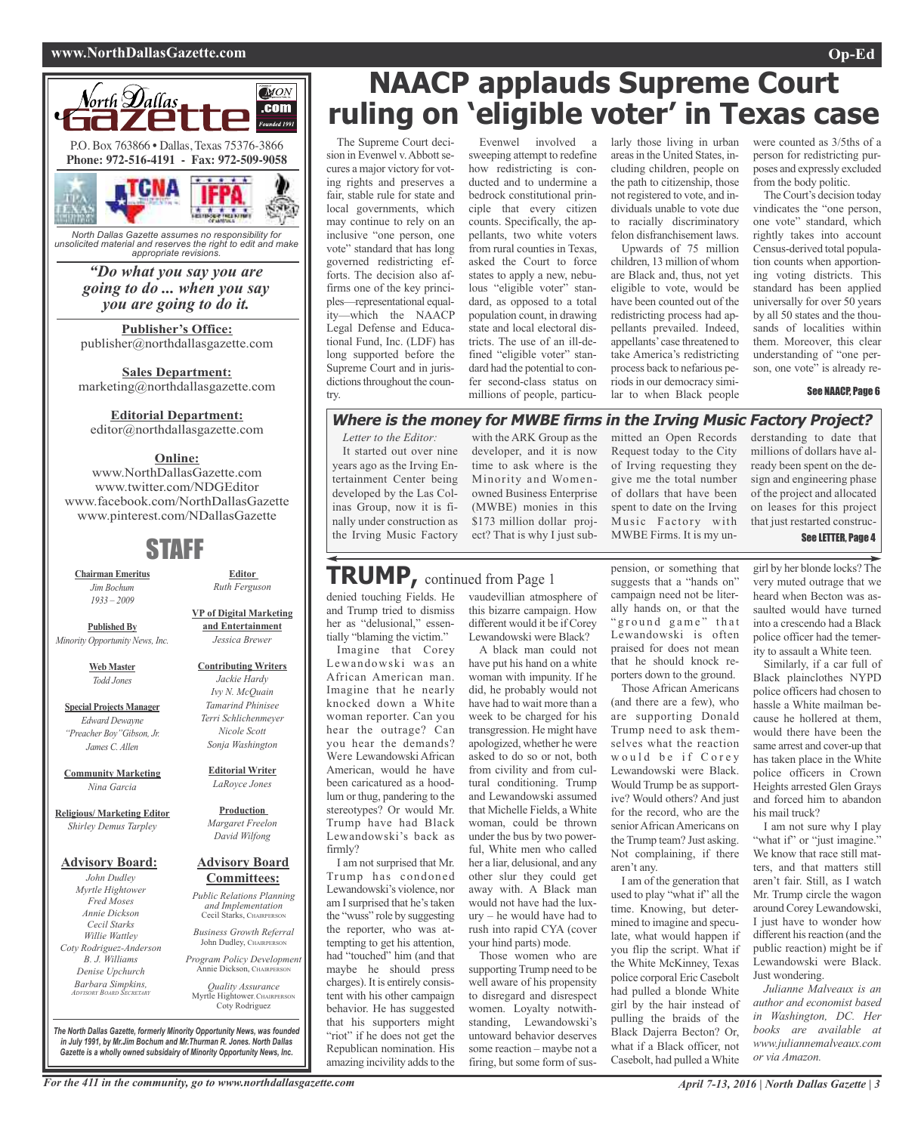### **www.NorthDallasGazette.com Op-Ed**



*North Dallas Gazette assumes no responsibility for unsolicited material and reserves the right to edit and make appropriate revisions.*

*"Do what you say you are going to do ... when you say you are going to do it.*

**Publisher's Office:** publisher@northdallasgazette.com

**Sales Department:** marketing@northdallasgazette.com

### **Editorial Department:**

editor@northdallasgazette.com

### **Online:**

www.NorthDallasGazette.com www.twitter.com/NDGEditor www.facebook.com/NorthDallasGazette www.pinterest.com/NDallasGazette

### STAFF

**Chairman Emeritus** *Jim Bochum 1933 – 2009*

**Published By** *Minority Opportunity News, Inc.*

> **Web Master** *Todd Jones*

**Special Projects Manager** *Edward Dewayne "Preacher Boy"Gibson, Jr. James C. Allen*

**Community Marketing** *Nina Garcia*

**Religious/ Marketing Editor** *Shirley Demus Tarpley*

### **Advisory Board:**

*John Dudley Myrtle Hightower Fred Moses Annie Dickson Cecil Starks Willie Wattley Coty Rodriguez-Anderson B. J. Williams Denise Upchurch Barbara Simpkins, ADVISORY BOARD SECRETARY*

*Ivy N. McQuain Terri Schlichenmeyer Nicole Scott Sonja Washington*

> **Editorial Writer** *LaRoyce Jones*

**Production** *Margaret Freelon David Wilfong*

#### **Advisory Board Committees:**

*Public Relations Planning and Implementation* Cecil Starks, CHAIRPERSON

*Business Growth Referral* John Dudley, CHAIRPERSON

*Program Policy Development* Annie Dickson, CHAIRPER

*Quality Assurance* Myrtle Hightower, CHAIRPERSON Coty Rodriguez

*The North Dallas Gazette, formerly Minority Opportunity News, was founded in July 1991, by Mr.Jim Bochum and Mr.Thurman R. Jones. North Dallas Gazette is a wholly owned subsidairy of Minority Opportunity News, Inc.*

## **NAACP applauds Supreme Court ruling on 'eligible voter' in Texas case**

The Supreme Court decision in Evenwel v. Abbott secures a major victory for voting rights and preserves a fair, stable rule for state and local governments, which may continue to rely on an inclusive "one person, one vote" standard that has long governed redistricting efforts. The decision also affirms one of the key principles—representational equality—which the NAACP Legal Defense and Educational Fund, Inc. (LDF) has long supported before the Supreme Court and in jurisdictions throughout the country.

Evenwel involved a sweeping attempt to redefine how redistricting is conducted and to undermine a bedrock constitutional principle that every citizen counts. Specifically, the appellants, two white voters from rural counties in Texas, asked the Court to force states to apply a new, nebulous "eligible voter" standard, as opposed to a total population count, in drawing state and local electoral districts. The use of an ill-defined "eligible voter" standard had the potential to confer second-class status on millions of people, particularly those living in urban areasin the United States, including children, people on the path to citizenship, those not registered to vote, and individuals unable to vote due to racially discriminatory felon disfranchisement laws.

Upwards of 75 million children, 13 million of whom are Black and, thus, not yet eligible to vote, would be have been counted out of the redistricting process had appellants prevailed. Indeed, appellants'case threatened to take America's redistricting process back to nefarious periods in our democracy similar to when Black people

were counted as 3/5ths of a person for redistricting purposes and expressly excluded from the body politic.

The Court's decision today vindicates the "one person, one vote" standard, which rightly takes into account Census-derived total population counts when apportioning voting districts. This standard has been applied universally for over 50 years by all 50 states and the thousands of localities within them. Moreover, this clear understanding of "one person, one vote" is already re-

#### See NAACP, Page 6

### **Where is the money for MWBE firms in the Irving Music Factory Project?**

*Letter to the Editor:*

It started out over nine years ago as the Irving Entertainment Center being developed by the Las Colinas Group, now it is finally under construction as the Irving Music Factory

tially "blaming the victim." Imagine that Corey Lewandowski was an African American man. Imagine that he nearly knocked down a White woman reporter. Can you hear the outrage? Can you hear the demands? Were Lewandowski African American, would he have been caricatured as a hoodlum or thug, pandering to the stereotypes? Or would Mr. Trump have had Black Lewandowski's back as

I am not surprised that Mr. Trump has condoned Lewandowski's violence, nor am I surprised that he's taken the "wuss" role by suggesting the reporter, who was attempting to get his attention, had "touched" him (and that maybe he should press charges). It is entirely consistent with his other campaign behavior. He has suggested that his supporters might "riot" if he does not get the Republican nomination. His amazing incivility adds to the

firmly?

with the ARK Group as the developer, and it is now time to ask where is the Minority and Womenowned Business Enterprise (MWBE) monies in this \$173 million dollar project? That is why I just submitted an Open Records Request today to the City of Irving requesting they give me the total number of dollars that have been spent to date on the Irving Music Factory with MWBE Firms. It is my un-

derstanding to date that millions of dollars have already been spent on the design and engineering phase of the project and allocated on leases for this project that just restarted construc-

See LETTER, Page 4

### denied touching Fields. He vaudevillian atmosphere of and Trump tried to dismiss her as "delusional," essen-**TRUMP,** continued from Page <sup>1</sup>

this bizarre campaign. How different would it be if Corey Lewandowski were Black?

A black man could not have put his hand on a white woman with impunity. If he did, he probably would not have had to wait more than a week to be charged for his transgression. He might have apologized, whether he were asked to do so or not, both from civility and from cultural conditioning. Trump and Lewandowski assumed that Michelle Fields, a White woman, could be thrown under the bus by two powerful, White men who called her a liar, delusional, and any other slur they could get away with. A Black man would not have had the luxury – he would have had to rush into rapid CYA (cover your hind parts) mode.

Those women who are supporting Trump need to be well aware of his propensity to disregard and disrespect women. Loyalty notwithstanding, Lewandowski's untoward behavior deserves some reaction – maybe not a firing, but some form of suspension, or something that suggests that a "hands on" campaign need not be literally hands on, or that the " ground game" that Lewandowski is often praised for does not mean that he should knock reporters down to the ground.

Those African Americans (and there are a few), who are supporting Donald Trump need to ask themselves what the reaction would be if Corey Lewandowski were Black. Would Trump be as supportive? Would others? And just for the record, who are the senior African Americans on the Trump team? Just asking. Not complaining, if there aren't any.

I am of the generation that used to play "what if" all the time. Knowing, but determined to imagine and speculate, what would happen if you flip the script. What if the White McKinney, Texas police corporal Eric Casebolt had pulled a blonde White girl by the hair instead of pulling the braids of the Black Dajerra Becton? Or, what if a Black officer, not Casebolt, had pulled a White

girl by her blonde locks? The very muted outrage that we heard when Becton was assaulted would have turned into a crescendo had a Black police officer had the temerity to assault a White teen.

Similarly, if a car full of Black plainclothes NYPD police officers had chosen to hassle a White mailman because he hollered at them, would there have been the same arrest and cover-up that has taken place in the White police officers in Crown Heights arrested Glen Grays and forced him to abandon his mail truck?

I am not sure why I play "what if" or "just imagine." We know that race still matters, and that matters still aren't fair. Still, as I watch Mr. Trump circle the wagon around Corey Lewandowski, I just have to wonder how different his reaction (and the public reaction) might be if Lewandowski were Black. Just wondering.

*Julianne Malveaux is an author and economist based in Washington, DC. Her books are available at www.juliannemalveaux.com or via Amazon.*



**Editor** *Ruth Ferguson*

**VP of Digital Marketing and Entertainment**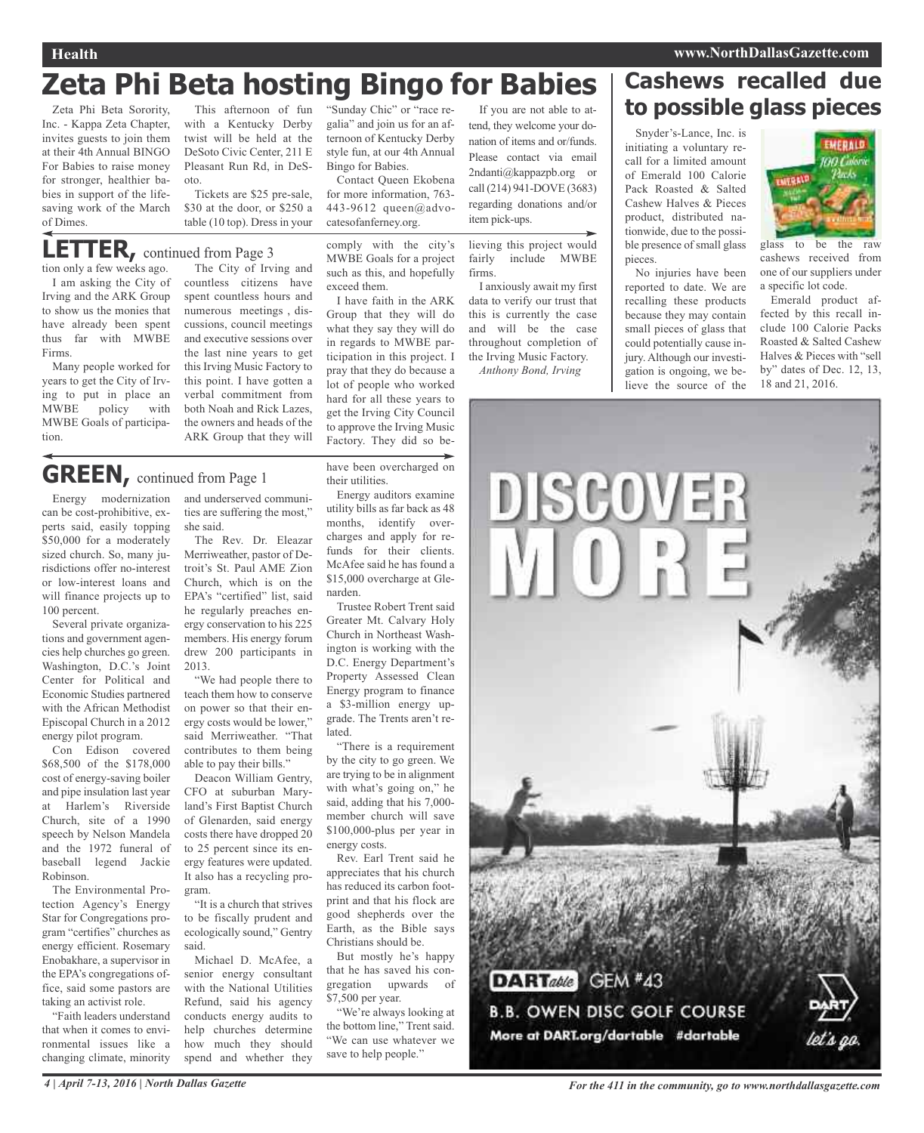## **Zeta Phi Beta hosting Bingo for Babies**

Zeta Phi Beta Sorority, Inc. - Kappa Zeta Chapter, invites guests to join them at their 4th Annual BINGO For Babies to raise money for stronger, healthier babies in support of the lifesaving work of the March of Dimes.

This afternoon of fun with a Kentucky Derby twist will be held at the DeSoto Civic Center, 211 E Pleasant Run Rd, in DeSoto.

Tickets are \$25 pre-sale, \$30 at the door, or \$250 a table (10 top). Dress in your

### tion only a few weeks ago. **LETTER,** continued from Page <sup>3</sup>

I am asking the City of Irving and the ARK Group to show us the monies that have already been spent thus far with MWBE Firms.

Many people worked for years to get the City of Irving to put in place an MWBE policy with MWBE Goals of participation.

The City of Irving and countless citizens have spent countless hours and numerous meetings , discussions, council meetings and executive sessions over the last nine years to get this Irving Music Factory to this point. I have gotten a verbal commitment from both Noah and Rick Lazes, the owners and heads of the ARK Group that they will

"Sunday Chic" or "race regalia" and join us for an afternoon of Kentucky Derby style fun, at our 4th Annual Bingo for Babies.

Contact Queen Ekobena for more information, 763- 443-9612 queen@advocatesofanferney.org.

comply with the city's MWBE Goals for a project such as this, and hopefully exceed them.

I have faith in the ARK Group that they will do what they say they will do in regards to MWBE participation in this project. I pray that they do because a lot of people who worked hard for all these years to get the Irving City Council to approve the Irving Music Factory. They did so be-

If you are not able to attend, they welcome your donation of items and or/funds. Please contact via email 2ndanti@kappazpb.org or call (214) 941-DOVE (3683) regarding donations and/or item pick-ups.

lieving this project would fairly include MWBE firms.

I anxiously await my first data to verify our trust that this is currently the case and will be the case throughout completion of the Irving Music Factory. *Anthony Bond, Irving*

**Cashews recalled due to possible glass pieces** Snyder's-Lance, Inc. is

initiating a voluntary recall for a limited amount of Emerald 100 Calorie Pack Roasted & Salted Cashew Halves & Pieces product, distributed nationwide, due to the possible presence of small glass pieces.

No injuries have been reported to date. We are recalling these products because they may contain small pieces of glass that could potentially cause injury. Although our investigation is ongoing, we believe the source of the



glass to be the raw cashews received from one of our suppliers under a specific lot code.

Emerald product affected by this recall include 100 Calorie Packs Roasted & Salted Cashew Halves & Pieces with "sell by" dates of Dec. 12, 13, 18 and 21, 2016.

## **GREEN,** continued from Page <sup>1</sup>

Energy modernization can be cost-prohibitive, experts said, easily topping \$50,000 for a moderately sized church. So, many jurisdictions offer no-interest or low-interest loans and will finance projects up to 100 percent.

Several private organizations and government agencies help churches go green. Washington, D.C.'s Joint Center for Political and Economic Studies partnered with the African Methodist Episcopal Church in a 2012 energy pilot program.

Con Edison covered \$68,500 of the \$178,000 cost of energy-saving boiler and pipe insulation last year at Harlem's Riverside Church, site of a 1990 speech by Nelson Mandela and the 1972 funeral of baseball legend Jackie Robinson.

The Environmental Protection Agency's Energy Star for Congregations program "certifies" churches as energy efficient. Rosemary Enobakhare, a supervisor in the EPA's congregations office, said some pastors are taking an activist role.

"Faith leaders understand that when it comes to environmental issues like a changing climate, minority

and underserved communities are suffering the most," she said.

The Rev. Dr. Eleazar Merriweather, pastor of Detroit's St. Paul AME Zion Church, which is on the EPA's "certified" list, said he regularly preaches energy conservation to his 225 members. His energy forum drew 200 participants in 2013.

"We had people there to teach them how to conserve on power so that their energy costs would be lower," said Merriweather. "That contributes to them being able to pay their bills."

Deacon William Gentry, CFO at suburban Maryland's First Baptist Church of Glenarden, said energy costs there have dropped 20 to 25 percent since its energy features were updated. It also has a recycling program.

"It is a church that strives to be fiscally prudent and ecologically sound," Gentry said.

Michael D. McAfee, a senior energy consultant with the National Utilities Refund, said his agency conducts energy audits to help churches determine how much they should spend and whether they

Energy auditors examine utility bills as far back as 48 months, identify overcharges and apply for refunds for their clients. McAfee said he has found a \$15,000 overcharge at Glenarden.

have been overcharged on

Trustee Robert Trent said Greater Mt. Calvary Holy Church in Northeast Washington is working with the D.C. Energy Department's Property Assessed Clean Energy program to finance a \$3-million energy upgrade. The Trents aren't related.

"There is a requirement by the city to go green. We are trying to be in alignment with what's going on," he said, adding that his 7,000 member church will save \$100,000-plus per year in energy costs.

Rev. Earl Trent said he appreciates that his church has reduced its carbon footprint and that his flock are good shepherds over the Earth, as the Bible says Christians should be.

But mostly he's happy that he has saved his congregation upwards of \$7,500 per year.

"We're always looking at the bottom line," Trent said. "We can use whatever we save to help people."



DISCOVER

**DARTable** GEM #43 **B.B. OWEN DISC GOLF COURSE** More at DART.org/dartable #dartable

4 | April 7-13, 2016 | North Dallas Gazette **State Assembly** For the 411 in the community, go to www.northdallasgazette.com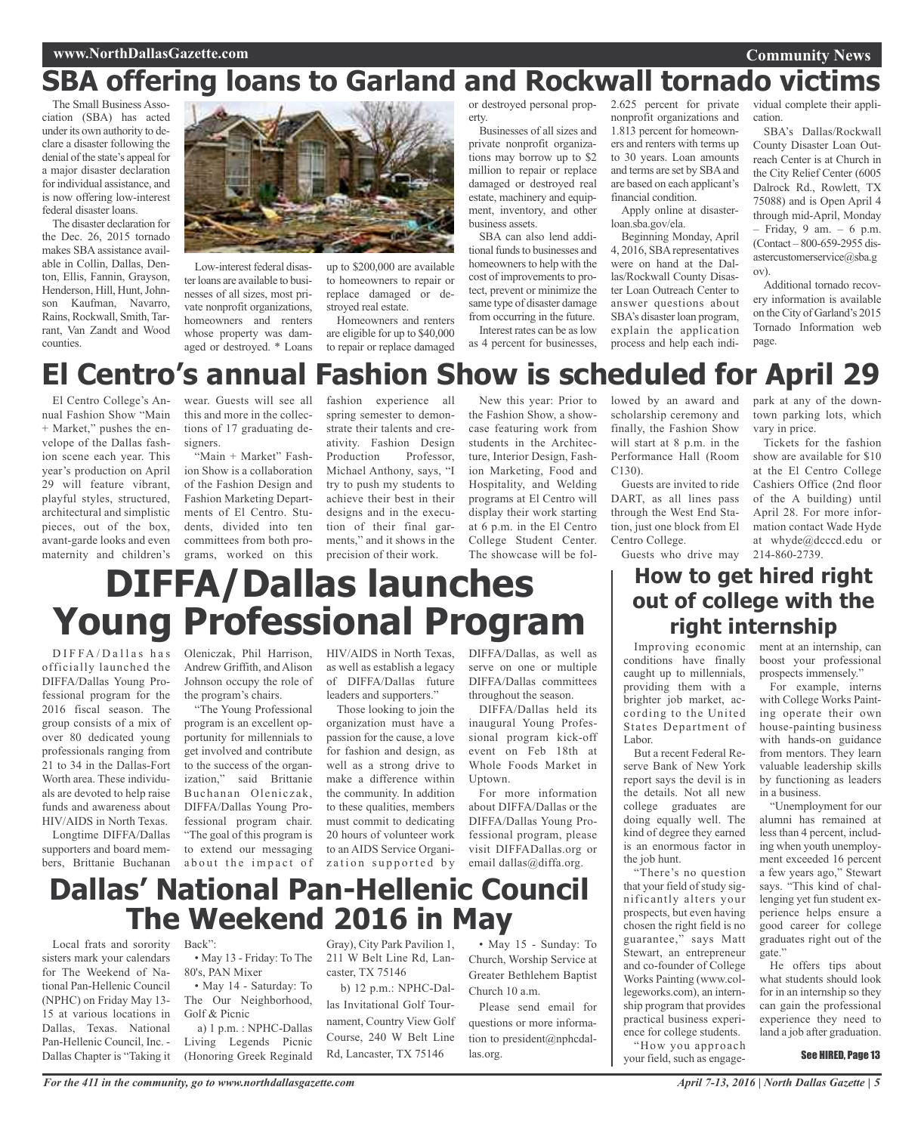### **www.NorthDallasGazette.com**

## **SBA offering loans to Garland and Rockwall tornado victims**

The Small Business Association (SBA) has acted under its own authority to declare a disaster following the denial of the state's appeal for a major disaster declaration for individual assistance, and is now offering low-interest federal disaster loans.

The disaster declaration for the Dec. 26, 2015 tornado makes SBA assistance available in Collin, Dallas, Denton, Ellis, Fannin, Grayson, Henderson, Hill, Hunt, Johnson Kaufman, Navarro, Rains, Rockwall, Smith, Tarrant, Van Zandt and Wood counties.



Low-interest federal disaster loans are available to businesses of all sizes, most private nonprofit organizations, homeowners and renters whose property was damaged or destroyed. \* Loans

up to \$200,000 are available to homeowners to repair or replace damaged or destroyed real estate.

Homeowners and renters are eligible for up to \$40,000 to repair or replace damaged

or destroyed personal property.

Businesses of all sizes and private nonprofit organizations may borrow up to \$2 million to repair or replace damaged or destroyed real estate, machinery and equipment, inventory, and other business assets.

SBA can also lend additional funds to businesses and homeowners to help with the cost of improvements to protect, prevent or minimize the same type of disaster damage from occurring in the future. Interest rates can be as low

as 4 percent for businesses,

2.625 percent for private nonprofit organizations and 1.813 percent for homeowners and renters with terms up to 30 years. Loan amounts and terms are set by SBAand are based on each applicant's financial condition.

Apply online at disasterloan.sba.gov/ela.

Beginning Monday, April 4, 2016, SBArepresentatives were on hand at the Dallas/Rockwall County Disaster Loan Outreach Center to answer questions about SBA's disaster loan program, explain the application process and help each individual complete their application.

**Community News**

SBA's Dallas/Rockwall County Disaster Loan Outreach Center is at Church in the City Relief Center (6005 Dalrock Rd., Rowlett, TX 75088) and is Open April 4 through mid-April, Monday – Friday, 9 am. – 6 p.m. (Contact – 800-659-2955 disastercustomerservice@sba.g ov).

Additional tornado recovery information is available on theCity of Garland's 2015 Tornado Information web page.

park at any of the downtown parking lots, which

Tickets for the fashion show are available for \$10 at the El Centro College Cashiers Office (2nd floor of the A building) until April 28. For more information contact Wade Hyde at whyde@dcccd.edu or

vary in price.

## **El Centro's annual Fashion Show is scheduled for April 29**

El Centro College's Annual Fashion Show "Main + Market," pushes the envelope of the Dallas fashion scene each year. This year's production on April 29 will feature vibrant, playful styles, structured, architectural and simplistic pieces, out of the box, avant-garde looks and even maternity and children's

wear. Guests will see all this and more in the collections of 17 graduating designers.

"Main + Market" Fashion Show is a collaboration of the Fashion Design and Fashion Marketing Departments of El Centro. Students, divided into ten committees from both programs, worked on this

fashion experience all spring semester to demonstrate their talents and creativity. Fashion Design Production Professor, Michael Anthony, says, "I try to push my students to achieve their best in their designs and in the execution of their final garments," and it shows in the precision of their work.

New this year: Prior to the Fashion Show, a showcase featuring work from students in the Architecture, Interior Design, Fashion Marketing, Food and Hospitality, and Welding programs at El Centro will display their work starting at 6 p.m. in the El Centro College Student Center. The showcase will be followed by an award and scholarship ceremony and finally, the Fashion Show will start at 8 p.m. in the Performance Hall (Room C130).

Guests are invited to ride DART, as all lines pass through the West End Station, just one block from El Centro College.

Guests who drive may 214-860-2739.

### **How to get hired right out of college with the right internship**

 $DIFFA/D$ allas has officially launched the DIFFA/Dallas Young Professional program for the 2016 fiscal season. The group consists of a mix of over 80 dedicated young professionals ranging from 21 to 34 in the Dallas-Fort Worth area. These individuals are devoted to help raise funds and awareness about HIV/AIDS in North Texas.

Longtime DIFFA/Dallas supporters and board members, Brittanie Buchanan

Oleniczak, Phil Harrison, HIV/AIDS in North Texas, Andrew Griffith, and Alison Johnson occupy the role of the program's chairs.

"The Young Professional program is an excellent opportunity for millennials to get involved and contribute to the success of the organization," said Brittanie Buchanan Oleniczak, DIFFA/Dallas Young Professional program chair. "The goal of this program is to extend our messaging as well as establish a legacy of DIFFA/Dallas future leaders and supporters."

about the impact of zation supported by Those looking to join the organization must have a passion for the cause, a love for fashion and design, as well as a strong drive to make a difference within the community. In addition to these qualities, members must commit to dedicating 20 hours of volunteer work to an AIDS Service Organi-

DIFFA/Dallas, as well as serve on one or multiple DIFFA/Dallas committees throughout the season.

DIFFA/Dallas held its inaugural Young Professional program kick-off event on Feb 18th at Whole Foods Market in Uptown.

For more information about DIFFA/Dallas or the DIFFA/Dallas Young Professional program, please visit DIFFADallas.org or email dallas@diffa.org.

### **Dallas' National Pan-Hellenic Council The Weekend 2016 in May**

**DIFFA/Dallas launches**

**Young Professional Program**

Local frats and sorority Back": sisters mark your calendars for The Weekend of National Pan-Hellenic Council (NPHC) on Friday May 13- 15 at various locations in Dallas, Texas. National Pan-Hellenic Council, Inc. - Dallas Chapter is "Taking it

• May 13 - Friday: To The

80's, PAN Mixer • May 14 - Saturday: To

The Our Neighborhood, Golf & Picnic a) 1 p.m. : NPHC-Dallas

Living Legends Picnic (Honoring Greek Reginald

Gray), City Park Pavilion 1, 211 W Belt Line Rd, Lancaster, TX 75146

b) 12 p.m.: NPHC-Dallas Invitational Golf Tournament, Country View Golf Course, 240 W Belt Line Rd, Lancaster, TX 75146

• May 15 - Sunday: To Church, Worship Service at Greater Bethlehem Baptist Church 10 a.m.

Please send email for questions or more information to president@nphcdallas.org.

Improving economic ment at an internship, can conditions have finally caught up to millennials, providing them with a brighter job market, according to the United States Department of Labor.

But a recent Federal Reserve Bank of New York report says the devil is in the details. Not all new college graduates are doing equally well. The kind of degree they earned is an enormous factor in the job hunt.

"There's no question that your field of study significantly alters your prospects, but even having chosen the right field is no guarantee," says Matt Stewart, an entrepreneur and co-founder of College Works Painting (www.collegeworks.com), an internship program that provides practical business experience for college students.

"How you approach your field, such as engageboost your professional prospects immensely." For example, interns

with College Works Painting operate their own house-painting business with hands-on guidance from mentors. They learn valuable leadership skills by functioning as leaders in a business.

"Unemployment for our alumni has remained at less than 4 percent, including when youth unemployment exceeded 16 percent a few years ago," Stewart says. "This kind of challenging yet fun student experience helps ensure a good career for college graduates right out of the gate."

He offers tips about what students should look for in an internship so they can gain the professional experience they need to land a job after graduation.

#### See HIRED, Page 13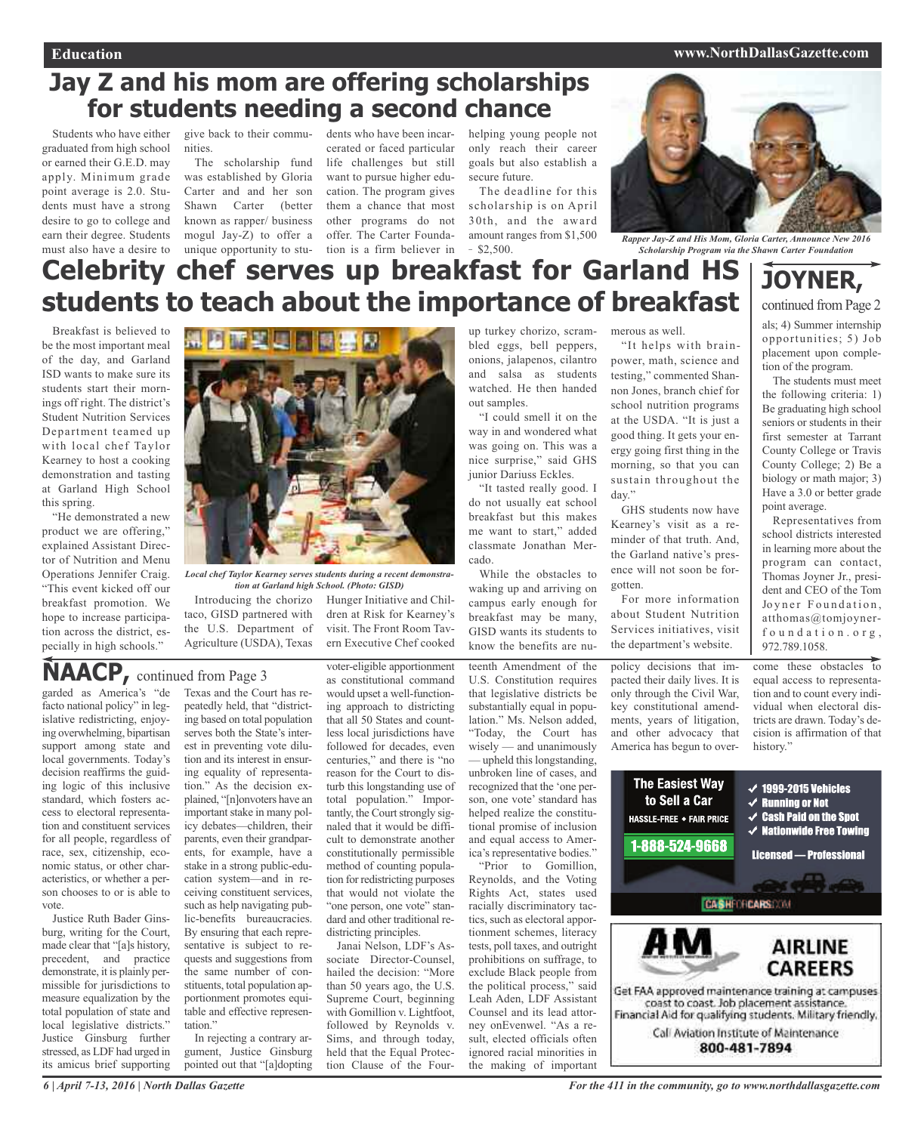#### **Education www.NorthDallasGazette.com**

### **Jay Z and his mom are offering scholarships for students needing a second chance**

Students who have either graduated from high school or earned their G.E.D. may apply. Minimum grade point average is 2.0. Students must have a strong desire to go to college and earn their degree. Students must also have a desire to

give back to their communities.

The scholarship fund was established by Gloria Carter and and her son Shawn Carter (better known as rapper/ business mogul Jay-Z) to offer a unique opportunity to stu-

dents who have been incarcerated or faced particular life challenges but still want to pursue higher education. The program gives them a chance that most other programs do not offer. The Carter Foundation is a firm believer in  $-$  \$2,500.

helping young people not only reach their career goals but also establish a secure future.

The deadline for this scholarship is on April 30th, and the award amount ranges from \$1,500



*Rapper Jay-Z and His Mom, Gloria Carter, Announce New 2016 Scholarship Program via the Shawn Carter Foundation*

## **Celebrity chef serves up breakfast for Garland HS students to teach about the importance of breakfast**

Breakfast is believed to be the most important meal of the day, and Garland ISD wants to make sure its students start their mornings off right. The district's Student Nutrition Services Department teamed up with local chef Taylor Kearney to host a cooking demonstration and tasting at Garland High School this spring.

"He demonstrated a new product we are offering," explained Assistant Director of Nutrition and Menu Operations Jennifer Craig. "This event kicked off our breakfast promotion. We hope to increase participation across the district, especially in high schools."



*Local chef Taylor Kearney serves students during a recent demonstration at Garland high School. (Photo: GISD)*

Introducing the chorizo taco, GISD partnered with the U.S. Department of Agriculture (USDA), Texas

### Hunger Initiative and Children at Risk for Kearney's visit. The Front Room Tav-

ern Executive Chef cooked

## **NAACP,** continued from Page <sup>3</sup>

garded as America's "de facto national policy" in legislative redistricting, enjoying overwhelming, bipartisan support among state and local governments. Today's decision reaffirms the guiding logic of this inclusive standard, which fosters access to electoral representation and constituent services for all people, regardless of race, sex, citizenship, economic status, or other characteristics, or whether a person chooses to or is able to vote.

Justice Ruth Bader Ginsburg, writing for the Court, made clear that "[a]s history, precedent, and practice demonstrate, it is plainly permissible for jurisdictions to measure equalization by the total population of state and local legislative districts." Justice Ginsburg further stressed, as LDF had urged in its amicus brief supporting

Texas and the Court has repeatedly held, that "districting based on total population serves both the State's interest in preventing vote dilution and its interest in ensuring equality of representation." As the decision explained, "[n]onvoters have an important stake in many policy debates—children, their parents, even their grandparents, for example, have a stake in a strong public-education system—and in receiving constituent services, such as help navigating public-benefits bureaucracies. By ensuring that each representative is subject to requests and suggestions from the same number of constituents, total population apportionment promotes equitable and effective representation."

In rejecting a contrary argument, Justice Ginsburg pointed out that "[a]dopting

voter-eligible apportionment as constitutional command would upset a well-functioning approach to districting that all 50 States and countless local jurisdictions have followed for decades, even centuries," and there is "no reason for the Court to disturb this longstanding use of total population." Importantly, the Court strongly signaled that it would be difficult to demonstrate another constitutionally permissible method of counting population for redistricting purposes that would not violate the "one person, one vote" standard and other traditional redistricting principles. Janai Nelson, LDF's As-

sociate Director-Counsel, hailed the decision: "More than 50 years ago, the U.S. Supreme Court, beginning with Gomillion v. Lightfoot, followed by Reynolds v. Sims, and through today, held that the Equal Protection Clause of the Four-

up turkey chorizo, scrambled eggs, bell peppers, onions, jalapenos, cilantro and salsa as students watched. He then handed out samples.

"I could smell it on the way in and wondered what was going on. This was a nice surprise," said GHS junior Dariuss Eckles.

"It tasted really good. I do not usually eat school breakfast but this makes me want to start," added classmate Jonathan Mercado.

While the obstacles to waking up and arriving on campus early enough for breakfast may be many, GISD wants its students to know the benefits are nu-

teenth Amendment of the U.S. Constitution requires that legislative districts be substantially equal in population." Ms. Nelson added, "Today, the Court has wisely — and unanimously — upheld this longstanding, unbroken line of cases, and recognized that the 'one person, one vote' standard has helped realize the constitutional promise of inclusion and equal access to America's representative bodies." "Prior to Gomillion,

Reynolds, and the Voting Rights Act, states used racially discriminatory tactics, such as electoral apportionment schemes, literacy tests, poll taxes, and outright prohibitions on suffrage, to exclude Black people from the political process," said Leah Aden, LDF Assistant Counsel and its lead attorney onEvenwel. "As a result, elected officials often ignored racial minorities in the making of important

merous as well.

"It helps with brainpower, math, science and testing," commented Shannon Jones, branch chief for school nutrition programs at the USDA. "It is just a good thing. It gets your energy going first thing in the morning, so that you can sustain throughout the day."

GHS students now have Kearney's visit as a reminder of that truth. And, the Garland native's presence will not soon be forgotten.

For more information about Student Nutrition Services initiatives, visit the department's website.

policy decisions that impacted their daily lives. It is only through the Civil War, key constitutional amendments, years of litigation, and other advocacy that America has begun to over**JOYNER,**

continued from Page 2

als; 4) Summer internship opportunities; 5) Job placement upon completion of the program.

The students must meet the following criteria: 1) Be graduating high school seniors or students in their first semester at Tarrant County College or Travis County College; 2) Be a biology or math major; 3) Have a 3.0 or better grade point average.

Representatives from school districts interested in learning more about the program can contact, Thomas Joyner Jr., president and CEO of the Tom Joyner Foundation, atthomas@tomjoynerfoundation.org, 972.789.1058.

come these obstacles to equal access to representation and to count every individual when electoral districts are drawn. Today's decision is affirmation of that history."

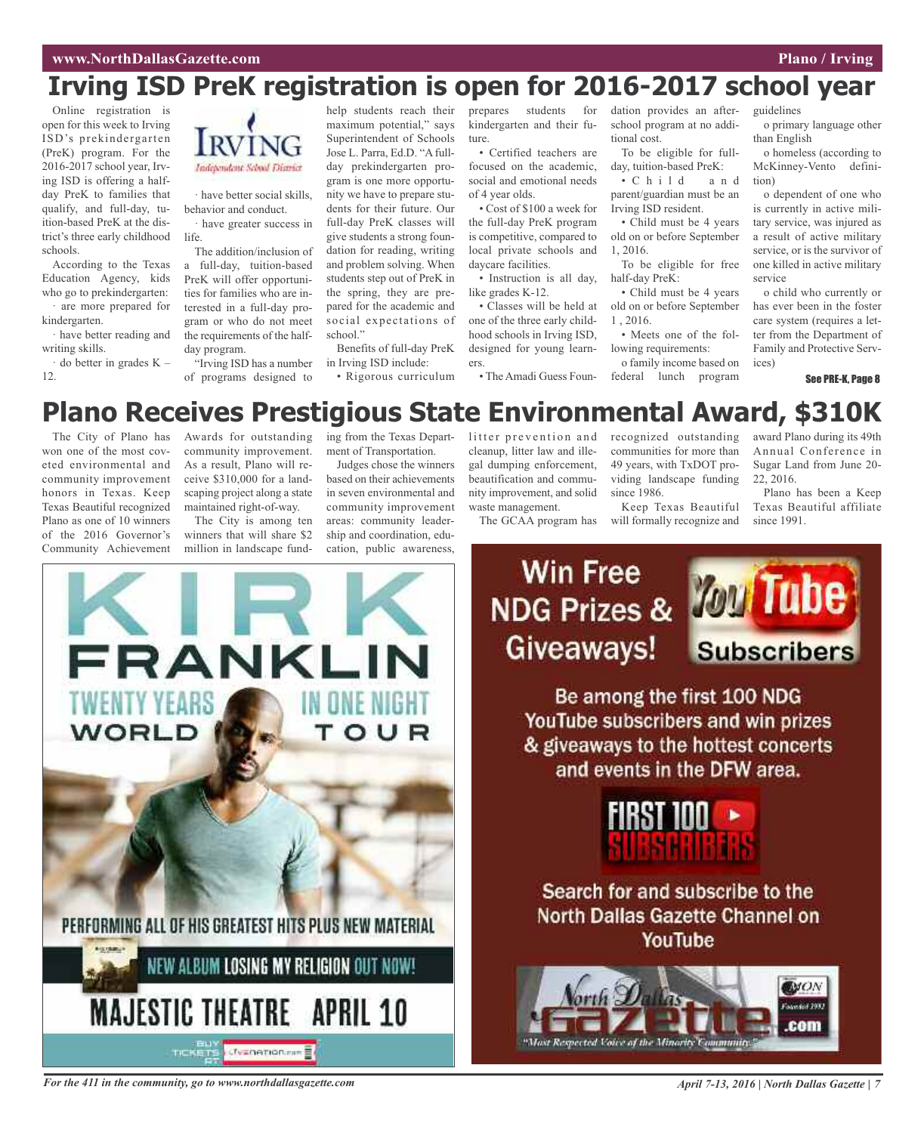Online registration is open for this week to Irving ISD's prekindergarten (PreK) program. For the 2016-2017 school year, Irving ISD is offering a halfday PreK to families that qualify, and full-day, tuition-based PreK at the district's three early childhood schools.

According to the Texas Education Agency, kids who go to prekindergarten: are more prepared for

kindergarten. · have better reading and

writing skills. do better in grades  $K -$ 

12.

Independent School Diame

· have better social skills, behavior and conduct.

· have greater success in life.

The addition/inclusion of a full-day, tuition-based PreK will offer opportunities for families who are interested in a full-day program or who do not meet the requirements of the halfday program.

"Irving ISD has a number of programs designed to

help students reach their maximum potential," says Superintendent of Schools Jose L. Parra, Ed.D. "A fullday prekindergarten program is one more opportunity we have to prepare students for their future. Our full-day PreK classes will give students a strong foundation for reading, writing and problem solving. When students step out of PreK in the spring, they are prepared for the academic and social expectations of school."

Benefits of full-day PreK in Irving ISD include:

• Rigorous curriculum

prepares students for kindergarten and their future.

• Certified teachers are focused on the academic, social and emotional needs of 4 year olds.

• Cost of \$100 a week for the full-day PreK program is competitive, compared to local private schools and daycare facilities.

• Instruction is all day, like grades K-12.

• Classes will be held at one of the three early childhood schools in Irving ISD, designed for young learners.

• The Amadi Guess Foun-

dation provides an afterschool program at no additional cost.

To be eligible for fullday, tuition-based PreK: • C h i l d a n d parent/guardian must be an Irving ISD resident.

• Child must be 4 years old on or before September 1, 2016.

To be eligible for free half-day PreK:

• Child must be 4 years old on or before September 1 , 2016.

• Meets one of the following requirements:

o family income based on federal lunch program

o primary language other than English

guidelines

o homeless (according to McKinney-Vento definition)

o dependent of one who is currently in active military service, was injured as a result of active military service, or is the survivor of one killed in active military service

o child who currently or has ever been in the foster care system (requires a letter from the Department of Family and Protective Services)

See PRE-K, Page 8

## **Plano Receives Prestigious State Environmental Award, \$310K**

The City of Plano has won one of the most coveted environmental and community improvement honors in Texas. Keep Texas Beautiful recognized Plano as one of 10 winners of the 2016 Governor's Awards for outstanding community improvement. As a result, Plano will receive \$310,000 for a landscaping project along a state maintained right-of-way.

The City is among ten winners that will share \$2 ing from the Texas Department of Transportation.

Judges chose the winners based on their achievements in seven environmental and community improvement areas: community leadership and coordination, education, public awareness,

litter prevention and cleanup, litter law and illegal dumping enforcement, beautification and community improvement, and solid waste management.

The GCAA program has

recognized outstanding communities for more than 49 years, with TxDOT providing landscape funding since 1986.

Keep Texas Beautiful will formally recognize and award Plano during its 49th Annual Conference in Sugar Land from June 20- 22, 2016.

Plano has been a Keep Texas Beautiful affiliate since 1991.



**Win Free** NDG Prizes & **MDI Tube** Giveaways! **Subscribers** Be among the first 100 NDG YouTube subscribers and win prizes & giveaways to the hottest concerts and events in the DFW area.



Search for and subscribe to the **North Dallas Gazette Channel on** YouTube



For the 411 in the community, go to www.northdallasgazette.com April 7-13, 2016 | North Dallas Gazette | 7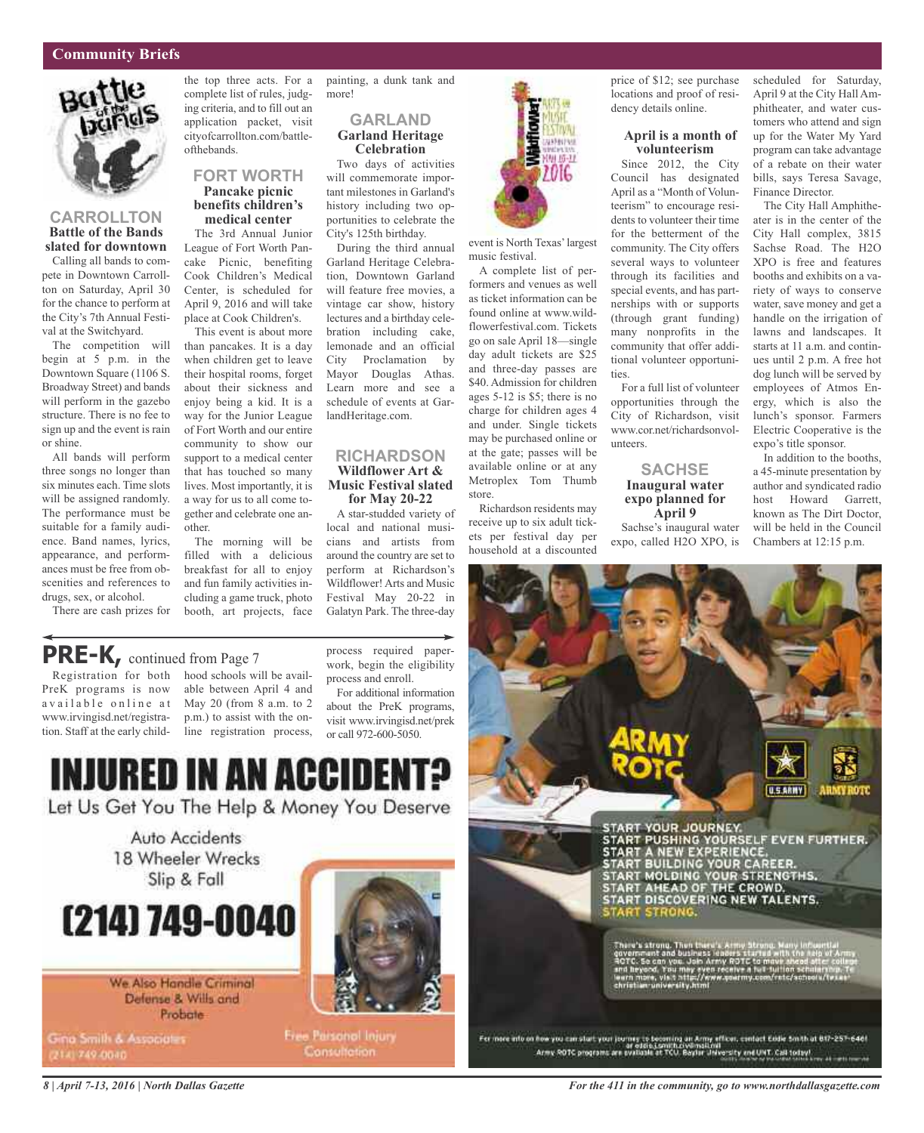

### **CARROLLTON Battle of the Bands slated for downtown**

Calling all bands to compete in Downtown Carrollton on Saturday, April 30 for the chance to perform at the City's 7th Annual Festival at the Switchyard.

The competition will begin at 5 p.m. in the Downtown Square (1106 S. Broadway Street) and bands will perform in the gazebo structure. There is no fee to sign up and the event is rain or shine.

All bands will perform three songs no longer than six minutes each. Time slots will be assigned randomly. The performance must be suitable for a family audience. Band names, lyrics, appearance, and performances must be free from obscenities and references to drugs, sex, or alcohol.

There are cash prizes for

complete list of rules, judging criteria, and to fill out an application packet, visit cityofcarrollton.com/battleofthebands.

### **FORT WORTH Pancake picnic benefits children's medical center**

The 3rd Annual Junior League of Fort Worth Pancake Picnic, benefiting Cook Children's Medical Center, is scheduled for April 9, 2016 and will take place at Cook Children's.

This event is about more than pancakes. It is a day when children get to leave their hospital rooms, forget about their sickness and enjoy being a kid. It is a way for the Junior League of Fort Worth and our entire community to show our support to a medical center that has touched so many lives. Most importantly, it is a way for us to all come together and celebrate one another.

The morning will be filled with a delicious breakfast for all to enjoy and fun family activities including a game truck, photo booth, art projects, face

the top three acts. For a painting, a dunk tank and more!

### **GARLAND Garland Heritage Celebration**

Two days of activities will commemorate important milestones in Garland's history including two opportunities to celebrate the City's 125th birthday.

During the third annual Garland Heritage Celebration, Downtown Garland will feature free movies, a vintage car show, history lectures and a birthday celebration including cake, lemonade and an official City Proclamation by Mayor Douglas Athas. Learn more and see a schedule of events at GarlandHeritage.com.

### **RICHARDSON Wildflower Art & Music Festival slated for May 20-22**

A star-studded variety of local and national musicians and artists from around the country are set to perform at Richardson's Wildflower! Arts and Music Festival May 20-22 in Galatyn Park. The three-day

**NAMES** 9115-11 2016

event is North Texas'largest music festival.

A complete list of performers and venues as well as ticket information can be found online at www.wildflowerfestival.com. Tickets go on sale April 18—single day adult tickets are \$25 and three-day passes are \$40. Admission for children ages 5-12 is \$5; there is no charge for children ages 4 and under. Single tickets may be purchased online or at the gate; passes will be available online or at any Metroplex Tom Thumb store.

Richardson residents may receive up to six adult tickets per festival day per household at a discounted price of \$12; see purchase locations and proof of residency details online.

### **April is a month of volunteerism**

Since 2012, the City Council has designated April as a "Month of Volunteerism" to encourage residents to volunteer their time for the betterment of the community. The City offers several ways to volunteer through its facilities and special events, and has partnerships with or supports (through grant funding) many nonprofits in the community that offer additional volunteer opportunities.

For a full list of volunteer opportunities through the City of Richardson, visit www.cor.net/richardsonvolunteers.

### **SACHSE Inaugural water expo planned for April 9**

Sachse's inaugural water expo, called H2O XPO, is scheduled for Saturday, April 9 at the City Hall Amphitheater, and water customers who attend and sign up for the Water My Yard program can take advantage of a rebate on their water bills, says Teresa Savage, Finance Director.

The City Hall Amphitheater is in the center of the City Hall complex, 3815 Sachse Road. The H2O XPO is free and features booths and exhibits on a variety of ways to conserve water, save money and get a handle on the irrigation of lawns and landscapes. It starts at 11 a.m. and continues until 2 p.m. A free hot dog lunch will be served by employees of Atmos Energy, which is also the lunch's sponsor. Farmers Electric Cooperative is the expo's title sponsor.

In addition to the booths, a 45-minute presentation by author and syndicated radio host Howard Garrett, known as The Dirt Doctor, will be held in the Council Chambers at 12:15 p.m.

### **PRE-K,** continued from Page <sup>7</sup>

PreK programs is now available online at www.irvingisd.net/registration. Staff at the early child-

Registration for both hood schools will be available between April 4 and May 20 (from 8 a.m. to 2 p.m.) to assist with the online registration process, process required paperwork, begin the eligibility process and enroll. For additional information

about the PreK programs, visit www.irvingisd.net/prek or call 972-600-5050.



Let Us Get You The Help & Money You Deserve

Auto Accidents 18 Wheeler Wrecks Slip & Fall

# (214) 749-0040

We Also Handle Criminal Defense & Wills and Probate

Gina Smith & Associates (214) 749-0040



**Free Parsonol Injury** Consultation:

**U.S.ARMY** START YOUR JOURNEY.<br>START PUSHING YOURSELF EVEN FURTHER.<br>START A NEW EXPERIENCE.<br>START BUILDING YOUR CAREER.<br>START MOLDING YOUR STRENGTHS.<br>START AHEAD OF THE CROWD.<br>START DISCOVERING NEW TALENTS. **START STRONG** ru's strong. T

For more into on how you can start your journey to becoming an Army efficer, centert Easle Smith at 817-257-646f<br>Army ROTC programs are evaluate at TCU, Baylar Jisversity and UNT. Call today!

*8 | April 7-13, 2016 | North Dallas Gazette*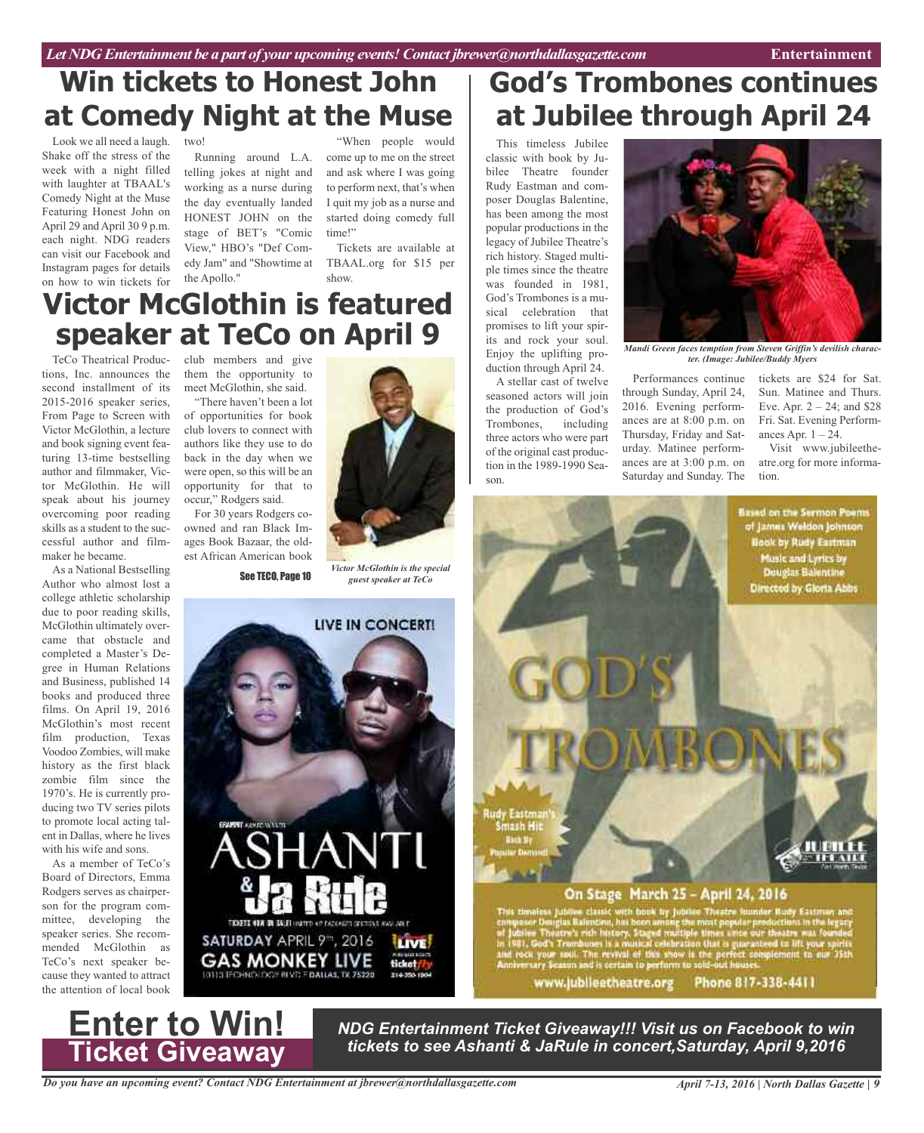## **Win tickets to Honest John at Comedy Night at the Muse**

Look we all need a laugh. two! Shake off the stress of the week with a night filled with laughter at TBAAL's Comedy Night at the Muse Featuring Honest John on April 29 and April 30 9 p.m. each night. NDG readers can visit our Facebook and Instagram pages for details on how to win tickets for

telling jokes at night and working as a nurse during the day eventually landed HONEST JOHN on the stage of BET's "Comic View," HBO's "Def Comedy Jam" and "Showtime at TBAAL.org for \$15 per the Apollo."

Running around L.A. come up to me on the street "When people would and ask where I was going to perform next, that's when I quit my job as a nurse and started doing comedy full time!"

> Tickets are available at show.

## **Victor McGlothin is featured speaker at TeCo on April 9**

tions, Inc. announces the second installment of its 2015-2016 speaker series, From Page to Screen with Victor McGlothin, a lecture and book signing event featuring 13-time bestselling author and filmmaker, Victor McGlothin. He will speak about his journey overcoming poor reading skills as a student to the successful author and filmmaker he became.

As a National Bestselling Author who almost lost a college athletic scholarship due to poor reading skills, McGlothin ultimately overcame that obstacle and completed a Master's Degree in Human Relations and Business, published 14 books and produced three films. On April 19, 2016 McGlothin's most recent film production, Texas Voodoo Zombies, will make history as the first black zombie film since the 1970's. He is currently producing two TV series pilots to promote local acting talent in Dallas, where he lives with his wife and sons.

As a member of TeCo's Board of Directors, Emma Rodgers serves as chairperson for the program committee, developing the speaker series. She recommended McGlothin as TeCo's next speaker because they wanted to attract the attention of local book

TeCo Theatrical Produc-club members and give them the opportunity to meet McGlothin, she said.

"There haven't been a lot of opportunities for book club lovers to connect with authors like they use to do back in the day when we were open, so this will be an opportunity for that to occur," Rodgers said.

For 30 years Rodgers coowned and ran Black Images Book Bazaar, the oldest African American book



*Victor McGlothin is the special* See TECO, Page 10 *guest speaker at TeCo*



## **God's Trombones continues at Jubilee through April 24**

This timeless Jubilee classic with book by Jubilee Theatre founder Rudy Eastman and composer Douglas Balentine, has been among the most popular productions in the legacy of Jubilee Theatre's rich history. Staged multiple times since the theatre was founded in 1981, God's Trombones is a musical celebration that promises to lift your spirits and rock your soul. Enjoy the uplifting production through April 24.

A stellar cast of twelve seasoned actors will join the production of God's Trombones, including three actors who were part of the original cast production in the 1989-1990 Season.



*Mandi Green faces temption from Steven Griffin's devilish character. (Image: Jubilee/Buddy Myers*

Performances continue through Sunday, April 24, 2016. Evening performances are at 8:00 p.m. on Thursday, Friday and Saturday. Matinee performances are at 3:00 p.m. on Saturday and Sunday. The tickets are \$24 for Sat. Sun. Matinee and Thurs. Eve. Apr.  $2 - 24$ ; and \$28 Fri. Sat. Evening Performances Apr.  $1 - 24$ .

Visit www.jubileetheatre.org for more information.

**Based on the Sermon Poems** of James Weldon Johnson **Book by Rudy Eastman** Music and Lyrics by **Douglas Balentine** Directed by Gloria Abbs



### On Stage March 25 - April 24, 2016

First Jubilee classic with book by Jubilee Theatre lounder Rudy Eastman and<br>Theatre's rich history. Stared multiple times are our theatre was founded<br>Theatre's rich history. Stared multiple times are our theatre was founde

www.jubileetheatre.org Phone 817-338-4411

**Enter to Win! Ticket Giveaway**

*NDG Entertainment Ticket Giveaway!!! Visit us on Facebook to win tickets to see Ashanti & JaRule in concert,Saturday, April 9,2016*

*Do you have an upcoming event? Contact NDG Entertainment at jbrewer@northdallasgazette.com*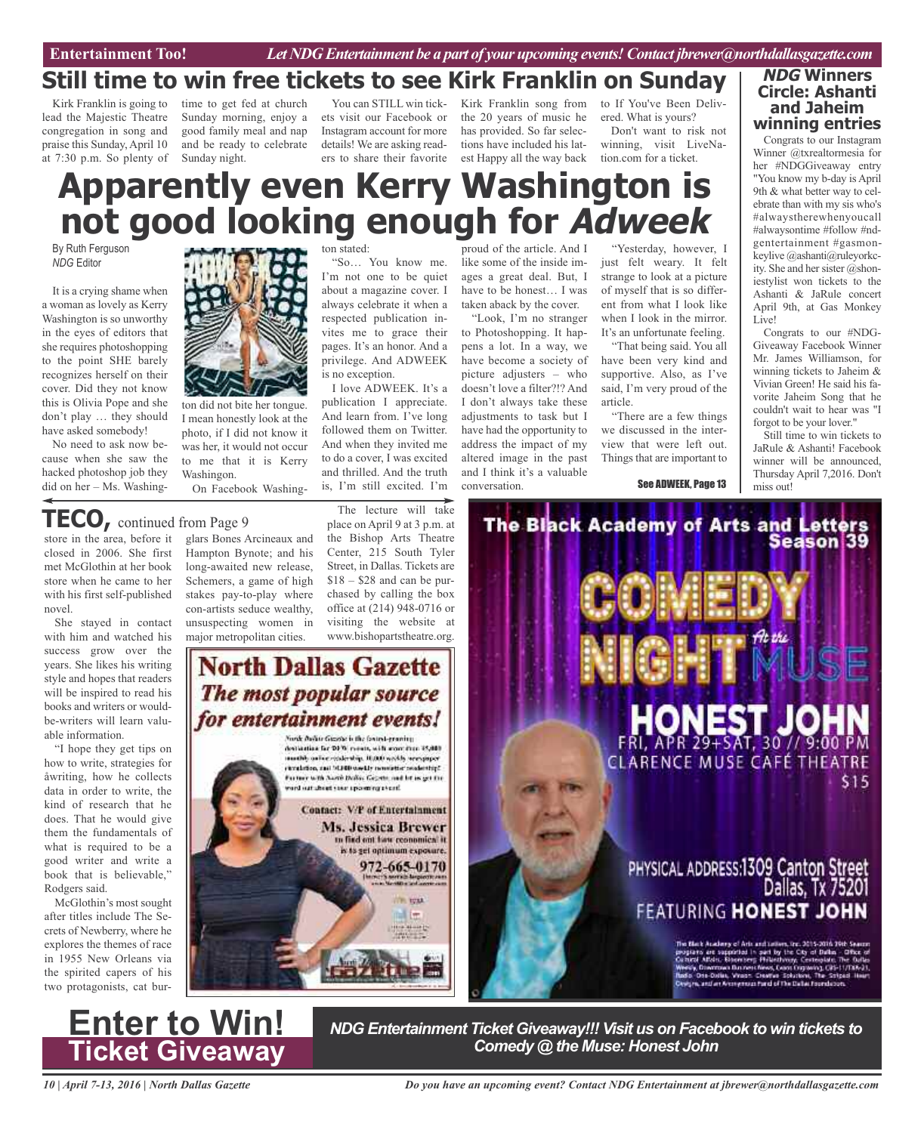### **Still time to win free tickets to see Kirk Franklin on Sunday**

Kirk Franklin is going to lead the Majestic Theatre congregation in song and praise this Sunday, April 10 at 7:30 p.m. So plenty of time to get fed at church Sunday morning, enjoy a good family meal and nap and be ready to celebrate Sunday night.

You can STILL win tickets visit our Facebook or Instagram account for more details! We are asking readers to share their favorite

Kirk Franklin song from the 20 years of music he has provided. So far selections have included his latest Happy all the way back

to If You've Been Delivered. What is yours?

Don't want to risk not winning, visit LiveNation.com for a ticket.

## **Apparently even Kerry Washington is not good looking enough for Adweek**

By Ruth Ferguson *NDG* Editor

It is a crying shame when a woman as lovely as Kerry Washington is so unworthy in the eyes of editors that she requires photoshopping to the point SHE barely recognizes herself on their cover. Did they not know this is Olivia Pope and she don't play … they should have asked somebody!

No need to ask now because when she saw the hacked photoshop job they did on her – Ms. Washing-



ton did not bite her tongue. I mean honestly look at the photo, if I did not know it was her, it would not occur to me that it is Kerry Washingon.

On Facebook Washing-

unsuspecting women in major metropolitan cities.

**TECO,** continued from Page <sup>9</sup>

store in the area, before it closed in 2006. She first met McGlothin at her book store when he came to her with his first self-published novel.

She stayed in contact with him and watched his success grow over the years. She likes his writing style and hopes that readers will be inspired to read his books and writers or wouldbe-writers will learn valuable information.

"I hope they get tips on how to write, strategies for åwriting, how he collects data in order to write, the kind of research that he does. That he would give them the fundamentals of what is required to be a good writer and write a book that is believable," Rodgers said.

McGlothin's most sought after titles include The Secrets of Newberry, where he explores the themes of race in 1955 New Orleans via the spirited capers of his two protagonists, cat bur-



always celebrate it when a

ton stated:

respected publication invites me to grace their pages. It's an honor. And a privilege. And ADWEEK is no exception.

"So… You know me. I'm not one to be quiet about a magazine cover. I

I love ADWEEK. It's a publication I appreciate. And learn from. I've long followed them on Twitter. And when they invited me to do a cover, I was excited and thrilled. And the truth is, I'm still excited. I'm

The lecture will take

proud of the article. And I like some of the inside images a great deal. But, I have to be honest… I was taken aback by the cover.

"Look, I'm no stranger to Photoshopping. It happens a lot. In a way, we have become a society of picture adjusters – who doesn't love a filter?!? And I don't always take these adjustments to task but I have had the opportunity to address the impact of my altered image in the past and I think it's a valuable conversation.

"Yesterday, however, I just felt weary. It felt strange to look at a picture of myself that is so different from what I look like when I look in the mirror. It's an unfortunate feeling.

"That being said. You all have been very kind and supportive. Also, as I've said, I'm very proud of the article.

"There are a few things we discussed in the interview that were left out. Things that are important to

See ADWEEK, Page 13

**NDG Winners Circle: Ashanti and Jaheim winning entries**

Congrats to our Instagram Winner @txrealtormesia for her #NDGGiveaway entry "You know my b-day is April 9th & what better way to celebrate than with my sis who's #alwaystherewhenyoucall #alwaysontime #follow #ndgentertainment #gasmonkeylive @ashanti@ruleyorkcity. She and her sister  $@$ shoniestylist won tickets to the Ashanti & JaRule concert April 9th, at Gas Monkey Live!

Congrats to our #NDG-Giveaway Facebook Winner Mr. James Williamson, for winning tickets to Jaheim & Vivian Green! He said his favorite Jaheim Song that he couldn't wait to hear was "I forgot to be your lover."

Still time to win tickets to JaRule & Ashanti! Facebook winner will be announced, Thursday April 7,2016. Don't miss out!



*NDG Entertainment Ticket Giveaway!!! Visit us on Facebook to win tickets to Comedy @ the Muse: Honest John*

*Do you have an upcoming event? Contact NDG Entertainment at jbrewer@northdallasgazette.com*

glars Bones Arcineaux and Hampton Bynote; and his long-awaited new release, Schemers, a game of high stakes pay-to-play where con-artists seduce wealthy, place on April 9 at 3 p.m. at the Bishop Arts Theatre Center, 215 South Tyler Street, in Dallas. Tickets are  $$18 - $28$  and can be pur-

chased by calling the box office at (214) 948-0716 or visiting the website at www.bishopartstheatre.org.

### **North Dallas Gazette** The most popular source for entertainment events!

Norde Bullist Giazzia is the favors i-granity. declination for DFW remain, with more than 15,000. muth) arise salestiq. ILOU walls see pyer<br>ricelates, and SLID wells noninter scalentiff Former with North Dollar George and by as get the and out cheet veer use emissional. **Contact: V/P of Entertainment** Ms. Jessica Brewer to find out have conomical it. is to get optimum exposure. 972-665-0170 **IF TOUR** mi im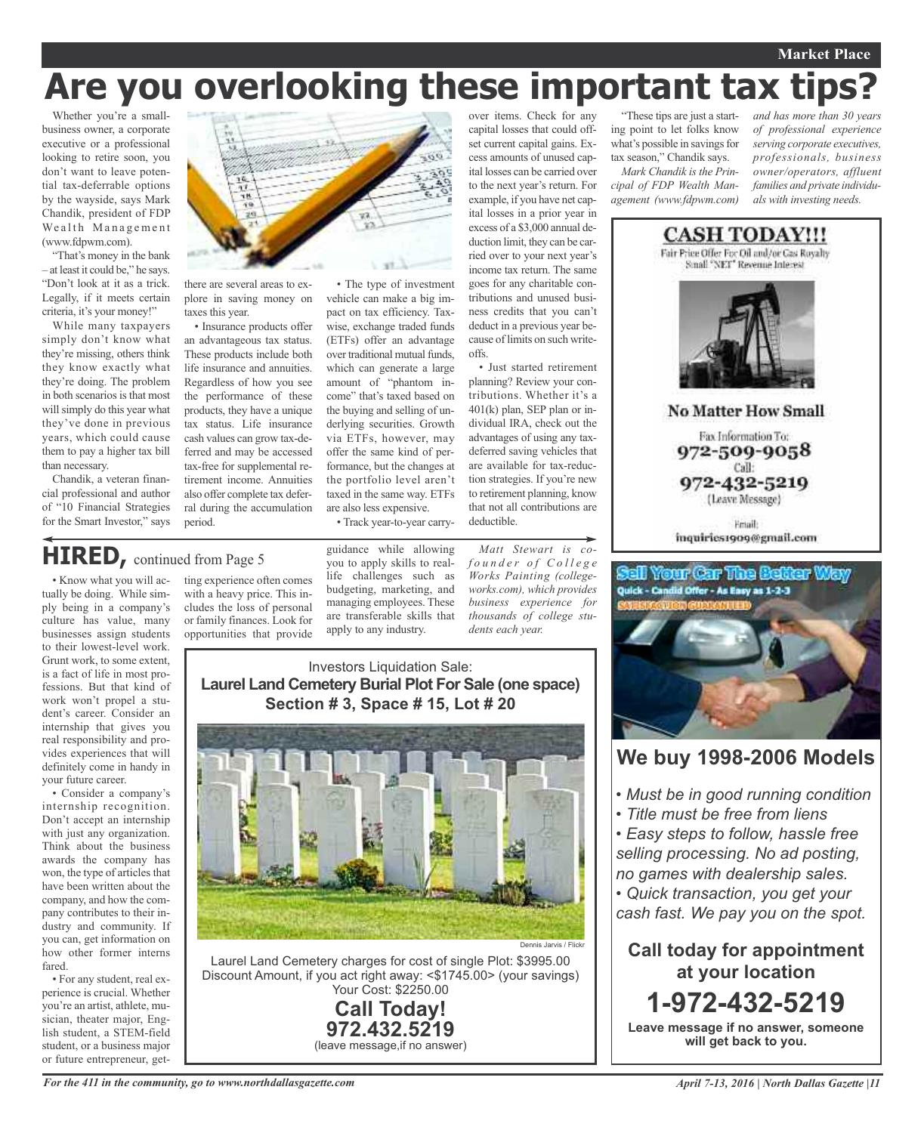### **Market Place**

# **Are you overlooking these important tax tips?**

Whether you're a smallbusiness owner, a corporate executive or a professional looking to retire soon, you don't want to leave potential tax-deferrable options by the wayside, says Mark Chandik, president of FDP Wealth Management (www.fdpwm.com).

"That's money in the bank – at least it could be," he says. "Don't look at it as a trick. Legally, if it meets certain criteria, it's your money!"

While many taxpayers simply don't know what they're missing, others think they know exactly what they're doing. The problem in both scenarios is that most will simply do this year what they've done in previous years, which could cause them to pay a higher tax bill than necessary.

Chandik, a veteran financial professional and author of "10 Financial Strategies for the Smart Investor," says

vil. there are several areas to explore in saving money on

taxes this year. • Insurance products offer

an advantageous tax status. These products include both life insurance and annuities. Regardless of how you see the performance of these products, they have a unique tax status. Life insurance cash values can grow tax-deferred and may be accessed tax-free for supplemental retirement income. Annuities also offer complete tax deferral during the accumulation period.

• The type of investment vehicle can make a big impact on tax efficiency. Taxwise, exchange traded funds (ETFs) offer an advantage over traditional mutual funds, which can generate a large amount of "phantom income" that's taxed based on the buying and selling of underlying securities. Growth via ETFs, however, may offer the same kind of performance, but the changes at the portfolio level aren't taxed in the same way. ETFs are also less expensive.

• Track year-to-year carry-

## **HIRED,** continued from Page <sup>5</sup>

• Know what you will actually be doing. While simply being in a company's culture has value, many businesses assign students to their lowest-level work. Grunt work, to some extent, is a fact of life in most professions. But that kind of work won't propel a student's career. Consider an internship that gives you real responsibility and pro-

vides experiences that will definitely come in handy in your future career. • Consider a company's internship recognition. Don't accept an internship with just any organization. Think about the business

awards the company has won, the type of articles that have been written about the company, and how the company contributes to their industry and community. If you can, get information on how other former interns fared.

• For any student, real experience is crucial. Whether you're an artist, athlete, musician, theater major, English student, a STEM-field student, or a business major or future entrepreneur, getting experience often comes with a heavy price. This includes the loss of personal or family finances. Look for opportunities that provide guidance while allowing you to apply skills to reallife challenges such as budgeting, marketing, and managing employees. These are transferable skills that apply to any industry.

*Matt Stewart is cof o u n d e r o f C o l l e g e Works Painting (collegeworks.com), which provides business experience for thousands of college students each year.*

### Investors Liquidation Sale: **Laurel Land Cemetery Burial Plot For Sale (one space) Section # 3, Space # 15, Lot # 20**



Laurel Land Cemetery charges for cost of single Plot: \$3995.00 Discount Amount, if you act right away: <\$1745.00> (your savings) Your Cost: \$2250.00

### **Call Today! 972.432.5219** (leave message,if no answer)

over items. Check for any capital losses that could offset current capital gains. Excess amounts of unused capital losses can be carried over to the next year's return. For example, if you have net capital losses in a prior year in excess of a \$3,000 annual deduction limit, they can be carried over to your next year's income tax return. The same goes for any charitable contributions and unused business credits that you can't deduct in a previous year because of limits on such writeoffs.

• Just started retirement planning? Review your contributions. Whether it's a 401(k) plan, SEP plan or individual IRA, check out the advantages of using any taxdeferred saving vehicles that are available for tax-reduction strategies. If you're new to retirement planning, know that not all contributions are deductible.

"These tips are just a starting point to let folks know what's possible in savings for tax season," Chandik says.

*Mark Chandik is the Principal of FDP Wealth Management (www.fdpwm.com)*

*and has more than 30 years of professional experience serving corporate executives, professionals, business owner/operators, affluent families and private individuals with investing needs.*





### **We buy 1998-2006 Models**

- *• Must be in good running condition*
- *• Title must be free from liens*

*• Easy steps to follow, hassle free selling processing. No ad posting, no games with dealership sales.*

*• Quick transaction, you get your cash fast. We pay you on the spot.*

**Call today for appointment at your location 1-972-432-5219**

**Leave message if no answer, someone will get back to you.**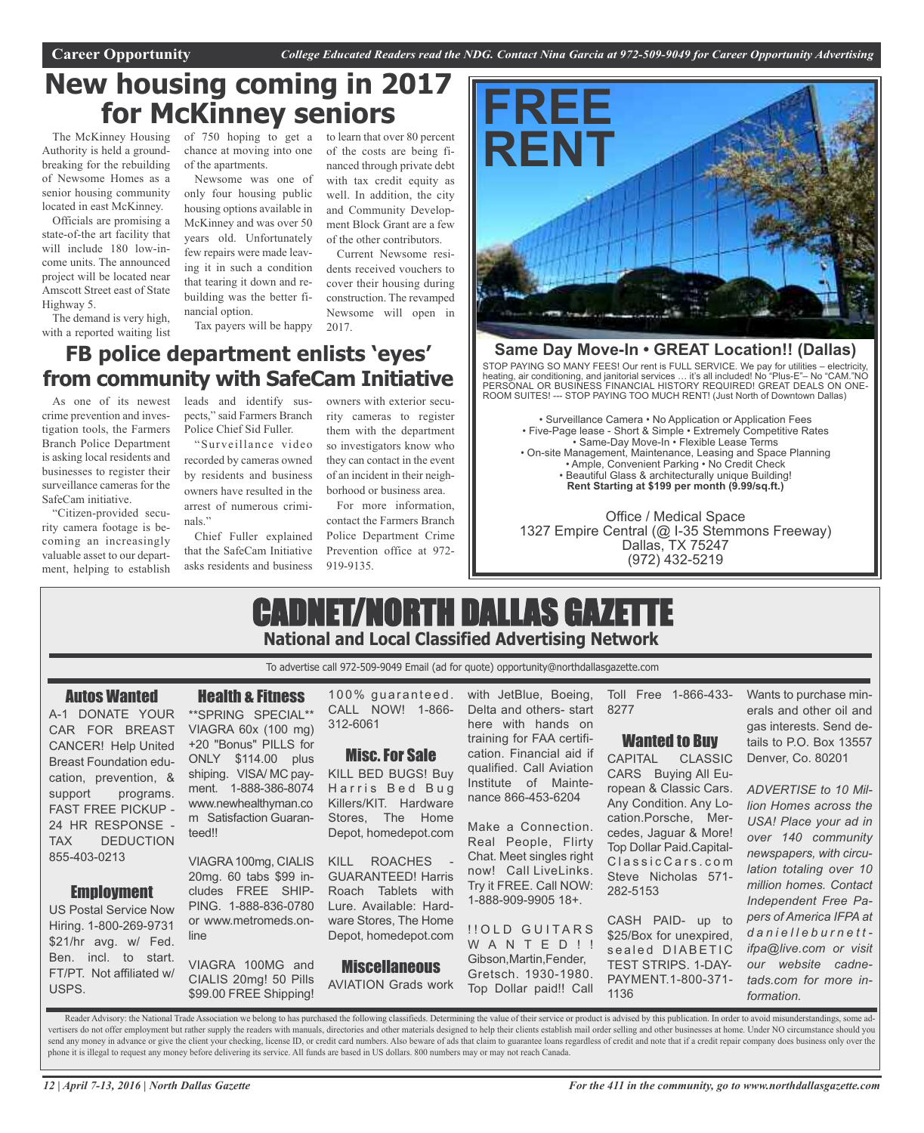### **New housing coming in 2017 for McKinney seniors**

The McKinney Housing Authority is held a groundbreaking for the rebuilding of Newsome Homes as a senior housing community located in east McKinney.

Officials are promising a state-of-the art facility that will include 180 low-income units. The announced project will be located near Amscott Street east of State Highway 5.

The demand is very high, with a reported waiting list

of 750 hoping to get a to learn that over 80 percent chance at moving into one of the apartments.

Newsome was one of only four housing public housing options available in McKinney and was over 50 years old. Unfortunately few repairs were made leaving it in such a condition that tearing it down and rebuilding was the better financial option.

Tax payers will be happy

### **FB police department enlists 'eyes' from community with SafeCam Initiative**

As one of its newest crime prevention and investigation tools, the Farmers Branch Police Department is asking local residents and businesses to register their surveillance cameras for the SafeCam initiative.

"Citizen-provided security camera footage is becoming an increasingly valuable asset to our department, helping to establish

leads and identify suspects," said Farmers Branch Police Chief Sid Fuller.

"Surveillance video recorded by cameras owned by residents and business owners have resulted in the arrest of numerous criminals."

Chief Fuller explained that the SafeCam Initiative asks residents and business

owners with exterior security cameras to register them with the department so investigators know who they can contact in the event of an incident in their neighborhood or business area.

2017.

of the costs are being financed through private debt with tax credit equity as well. In addition, the city and Community Development Block Grant are a few of the other contributors. Current Newsome residents received vouchers to cover their housing during construction. The revamped Newsome will open in

For more information, contact the Farmers Branch Police Department Crime Prevention office at 972- 919-9135.



### **Same Day Move-In • GREAT Location!! (Dallas)**

STOP PAYING SO MANY FEES! Our rent is FULL SERVICE. We pay for utilities – electricity, heating, air conditioning, and janitorial services … it's all included! No "Plus-E"– No "CAM."NO PERSONAL OR BUSINESS FINANCIAL HISTORY REQUIRED! GREAT DEALS ON ONE-ROOM SUITES! --- STOP PAYING TOO MUCH RENT! (Just North of Downtown Dallas)

• Surveillance Camera • No Application or Application Fees • Five-Page lease - Short & Simple • Extremely Competitive Rates • Same-Day Move-In • Flexible Lease Terms • On-site Management, Maintenance, Leasing and Space Planning • Ample, Convenient Parking • No Credit Check • Beautiful Glass & architecturally unique Building! **Rent Starting at \$199 per month (9.99/sq.ft.)**

Office / Medical Space 1327 Empire Central (@ I-35 Stemmons Freeway) Dallas, TX 75247 (972) 432-5219

### CADNET/NORTH DALLAS GAZETTE **National and Local Classified Advertising Network**

To advertise call 972-509-9049 Email (ad for quote) opportunity@northdallasgazette.com

### Autos Wanted

A-1 DONATE YOUR CAR FOR BREAST CANCER! Help United Breast Foundation education, prevention, & support programs. FAST FREE PICKUP - 24 HR RESPONSE - TAX DEDUCTION 855-403-0213

### Employment

US Postal Service Now Hiring. 1-800-269-9731 \$21/hr avg. w/ Fed. Ben. incl. to start. FT/PT. Not affiliated w/ USPS.

Health & Fitness \*\*SPRING SPECIAL\*\* VIAGRA 60x (100 mg) +20 "Bonus" PILLS for ONLY \$114.00 plus shiping. VISA/ MC payment. 1-888-386-8074 www.newhealthyman.co m Satisfaction Guaranteed!!

VIAGRA100mg, CIALIS 20mg. 60 tabs \$99 includes FREE SHIP-PING. 1-888-836-0780 or www.metromeds.online

VIAGRA 100MG and CIALIS 20mg! 50 Pills \$99.00 FREE Shipping!  $100\%$  guaranteed. CALL NOW! 1-866- 312-6061

### **Misc. For Sale**

KILL BED BUGS! Buy Harris Bed Bug Killers/KIT. Hardware Stores, The Home Depot, homedepot.com

KILL ROACHES GUARANTEED! Harris Roach Tablets with Lure. Available: Hardware Stores, The Home Depot, homedepot.com

**Miscellaneous** AVIATION Grads work with JetBlue, Boeing, Delta and others- start here with hands on training for FAA certification. Financial aid if qualified. Call Aviation Institute of Maintenance 866-453-6204

Make a Connection. Real People, Flirty Chat. Meet singles right now! Call LiveLinks. Try it FREE. Call NOW: 1-888-909-9905 18+.

!! OLD GUITARS W A N T E D ! ! Gibson,Martin,Fender, Gretsch. 1930-1980. Top Dollar paid!! Call Toll Free 1-866-433- 8277

### Wanted to Buy

CAPITAL CLASSIC CARS Buying All European & Classic Cars. Any Condition. Any Location.Porsche, Mercedes, Jaguar & More! Top Dollar Paid.Capital-ClassicCars.com Steve Nicholas 571- 282-5153

CASH PAID- up to \$25/Box for unexpired, sealed DIABETIC TEST STRIPS. 1-DAY-PAYMENT.1-800-371- 1136

Wants to purchase minerals and other oil and gas interests. Send details to P.O. Box 13557 Denver, Co. 80201

*ADVERTISE to 10 Million Homes across the USA! Place your ad in over 140 community newspapers, with circulation totaling over 10 million homes. Contact Independent Free Papers of America IFPA at d a n i e l l e b u r n e t t ifpa@live.com or visit our website cadnetads.com for more information.*

Reader Advisory: the National Trade Association we belong to has purchased the following classifieds. Determining the value of their service or product is advised by this publication. In order to avoid misunderstandings, s vertisers do not offer employment but rather supply the readers with manuals, directories and other materials designed to help their clients establish mail order selling and other businesses at home. Under NO circumstance send any money in advance or give the client your checking, license ID, or credit card numbers. Also beware of ads that claim to guarantee loans regardless of credit and note that if a credit repair company does business o phone it is illegal to request any money before delivering its service. All funds are based in US dollars. 800 numbers may or may not reach Canada.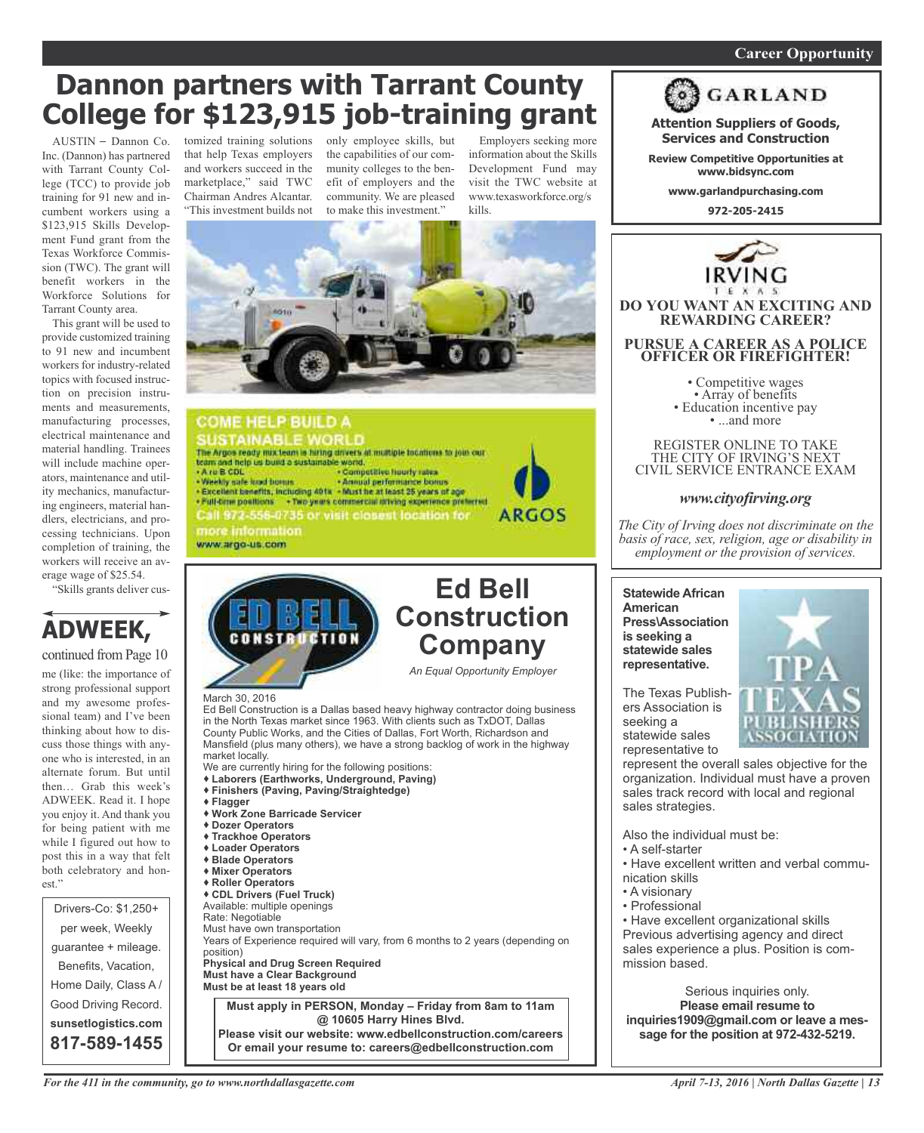### *On a quest for qualified candidates? Contact Nina Garcia at 972-509-9049* **Career Opportunity**

## **Dannon partners with Tarrant County College for \$123,915 job-training grant**

 $AUSTIN - Dannon Co.$ Inc. (Dannon) has partnered with Tarrant County College (TCC) to provide job training for 91 new and incumbent workers using a \$123,915 Skills Development Fund grant from the Texas Workforce Commission (TWC). The grant will benefit workers in the Workforce Solutions for Tarrant County area.

This grant will be used to provide customized training to 91 new and incumbent workers for industry-related topics with focused instruction on precision instruments and measurements, manufacturing processes, electrical maintenance and material handling. Trainees will include machine operators, maintenance and utility mechanics, manufacturing engineers, material handlers, electricians, and processing technicians. Upon completion of training, the workers will receive an average wage of \$25.54.

"Skills grants deliver cus-

### **ADWEEK,** continued from Page 10

me (like: the importance of strong professional support and my awesome professional team) and I've been thinking about how to discuss those things with anyone who is interested, in an alternate forum. But until then… Grab this week's ADWEEK. Read it. I hope you enjoy it. And thank you for being patient with me while I figured out how to post this in a way that felt both celebratory and honest."

Drivers-Co: \$1,250+ per week, Weekly guarantee + mileage. Benefits, Vacation, Home Daily, Class A / Good Driving Record. **sunsetlogistics.com 817-589-1455**

tomized training solutions only employee skills, but that help Texas employers and workers succeed in the marketplace," said TWC Chairman Andres Alcantar. "This investment builds not

the capabilities of our community colleges to the benefit of employers and the community. We are pleased to make this investment."

Employers seeking more information about the Skills Development Fund may visit the TWC website at www.texasworkforce.org/s kills.



#### **COME HELP BUILD A** SUSTAINABLE WORLD<br>The Arges ready mix team is hiring drivers at multiple fountions to join our<br>team and help us bund a sustainable world. . A ru B CDL<br>- Weekly safe froid burnis . Competitive hourly rates - Weekly sale load bonus - Annual performance bonus<br>- Excellent benefits, including 401s - Must he at least 35 years of age . Full-time positions + Two years commercial driving experience preferred **ARGOS** Call 972-556-0735 or visit closest location for more information www.argo-us.com



Ed Bell Construction is a Dallas based heavy highway contractor doing business in the North Texas market since 1963. With clients such as TxDOT, Dallas County Public Works, and the Cities of Dallas, Fort Worth, Richardson and Mansfield (plus many others), we have a strong backlog of work in the highway market locally. We are currently hiring for the following positions: **Laborers (Earthworks, Underground, Paving)**

- **Finishers (Paving, Paving/Straightedge)**
- **Flagger**
- **Work Zone Barricade Servicer**
- **Dozer Operators**
- **Trackhoe Operators**
- **Loader Operators**
- **Blade Operators**
- **Mixer Operators**
- **Roller Operators**
- **CDL Drivers (Fuel Truck)**

Available: multiple openings Rate: Negotiable

Must have own transportation Years of Experience required will vary, from 6 months to 2 years (depending on position) **Physical and Drug Screen Required Must have a Clear Background**

**Must be at least 18 years old Must apply in PERSON, Monday – Friday from 8am to 11am @ 10605 Harry Hines Blvd.**

**Please visit our website: www.edbellconstruction.com/careers Or email your resume to: careers@edbellconstruction.com**



**Attention Suppliers of Goods, Services and Construction**

**Review Competitive Opportunities at www.bidsync.com**

**www.garlandpurchasing.com**

**972-205-2415**



REGISTER ONLINE TO TAKE THE CITY OF IRVING'S NEXT CIVIL SERVICE ENTRANCE EXAM

### *www.cityofirving.org*

*The City of Irving does not discriminate on the basis of race, sex, religion, age or disability in employment or the provision of services.*

**Statewide African American Press\Association is seeking a statewide sales representative.**



The Texas Publishers Association is seeking a statewide sales representative to

represent the overall sales objective for the organization. Individual must have a proven sales track record with local and regional sales strategies.

Also the individual must be:

- A self-starter
- Have excellent written and verbal communication skills
- A visionary
- Professional

• Have excellent organizational skills Previous advertising agency and direct sales experience a plus. Position is commission based.

Serious inquiries only. **Please email resume to inquiries1909@gmail.com or leave a message for the position at 972-432-5219.**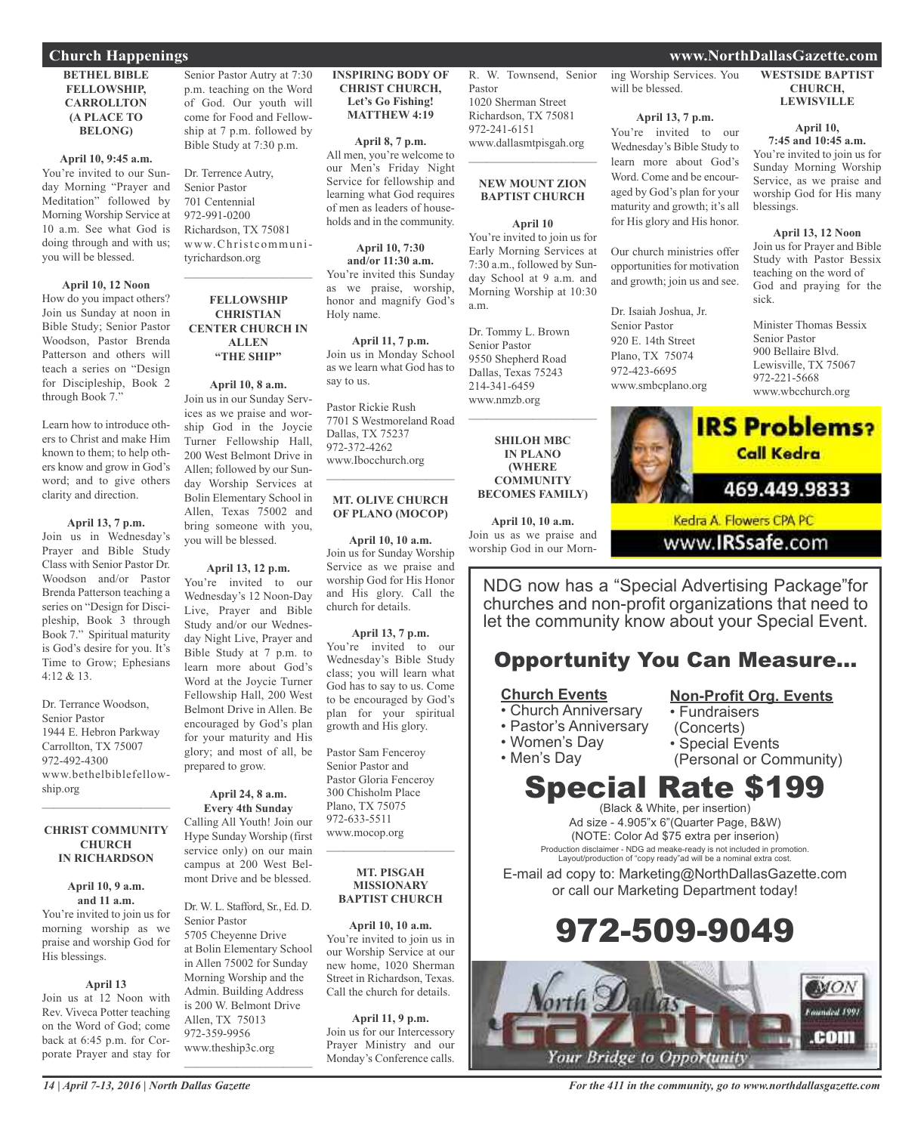### **BETHEL BIBLE FELLOWSHIP, CARROLLTON (A PLACE TO BELONG)**

#### **April 10, 9:45 a.m.**

You're invited to our Sunday Morning "Prayer and Meditation" followed by Morning Worship Service at 10 a.m. See what God is doing through and with us; you will be blessed.

#### **April 10, 12 Noon**

How do you impact others? Join us Sunday at noon in Bible Study; Senior Pastor Woodson, Pastor Brenda Patterson and others will teach a series on "Design for Discipleship, Book 2 through Book 7."

Learn how to introduce others to Christ and make Him known to them; to help others know and grow in God's word; and to give others clarity and direction.

#### **April 13, 7 p.m.**

Join us in Wednesday's Prayer and Bible Study Class with Senior Pastor Dr. Woodson and/or Pastor Brenda Patterson teaching a series on "Design for Discipleship, Book 3 through Book 7." Spiritual maturity is God's desire for you. It's Time to Grow; Ephesians 4:12 & 13.

Dr. Terrance Woodson, Senior Pastor 1944 E. Hebron Parkway Carrollton, TX 75007 972-492-4300 www.bethelbiblefellowship.org

#### **CHRIST COMMUNITY CHURCH IN RICHARDSON**

 $\frac{1}{2}$  ,  $\frac{1}{2}$  ,  $\frac{1}{2}$  ,  $\frac{1}{2}$  ,  $\frac{1}{2}$  ,  $\frac{1}{2}$  ,  $\frac{1}{2}$  ,  $\frac{1}{2}$  ,  $\frac{1}{2}$  ,  $\frac{1}{2}$ 

#### **April 10, 9 a.m. and 11 a.m.**

You're invited to join us for morning worship as we praise and worship God for His blessings.

#### **April 13**

Join us at 12 Noon with Rev. Viveca Potter teaching on the Word of God; come back at 6:45 p.m. for Corporate Prayer and stay for

Senior Pastor Autry at 7:30 p.m. teaching on the Word of God. Our youth will come for Food and Fellowship at 7 p.m. followed by Bible Study at 7:30 p.m.

Dr. Terrence Autry, Senior Pastor 701 Centennial 972-991-0200 Richardson, TX 75081 www.Christcommunityrichardson.org

 $\mathcal{L}_\text{max}$  and  $\mathcal{L}_\text{max}$  and  $\mathcal{L}_\text{max}$ 

### **FELLOWSHIP CHRISTIAN CENTER CHURCH IN ALLEN "THE SHIP"**

**April 10, 8 a.m.** Join us in our Sunday Services as we praise and worship God in the Joycie Turner Fellowship Hall, 200 West Belmont Drive in Allen; followed by our Sunday Worship Services at Bolin Elementary School in Allen, Texas 75002 and bring someone with you, you will be blessed.

### **April 13, 12 p.m.**

You're invited to our Wednesday's 12 Noon-Day Live, Prayer and Bible Study and/or our Wednesday Night Live, Prayer and Bible Study at 7 p.m. to learn more about God's Word at the Joycie Turner Fellowship Hall, 200 West Belmont Drive in Allen. Be encouraged by God's plan for your maturity and His glory; and most of all, be prepared to grow.

### **April 24, 8 a.m. Every 4th Sunday**

Calling All Youth! Join our Hype Sunday Worship (first service only) on our main campus at 200 West Belmont Drive and be blessed.

Dr. W. L. Stafford, Sr., Ed. D. Senior Pastor 5705 Cheyenne Drive at Bolin Elementary School in Allen 75002 for Sunday Morning Worship and the Admin. Building Address is 200 W. Belmont Drive Allen, TX 75013 972-359-9956 www.theship3c.org  $\mathcal{L}_\text{max}$  and  $\mathcal{L}_\text{max}$  and  $\mathcal{L}_\text{max}$ 

#### **INSPIRING BODY OF CHRIST CHURCH, Let's Go Fishing! MATTHEW 4:19**

### **April 8, 7 p.m.** All men, you're welcome to our Men's Friday Night Service for fellowship and

learning what God requires of men as leaders of households and in the community.

**April 10, 7:30 and/or 11:30 a.m.** You're invited this Sunday as we praise, worship, honor and magnify God's Holy name.

**April 11, 7 p.m.** Join us in Monday School as we learn what God has to say to us.

Pastor Rickie Rush 7701 S Westmoreland Road Dallas, TX 75237 972-372-4262 www.Ibocchurch.org

#### **MT. OLIVE CHURCH OF PLANO (MOCOP)**

 $\mathcal{L}=\mathcal{L}^{\mathcal{L}}$  , where  $\mathcal{L}^{\mathcal{L}}$  , we have the set of the set of the set of the set of the set of the set of the set of the set of the set of the set of the set of the set of the set of the set of the set of

**April 10, 10 a.m.** Join us for Sunday Worship Service as we praise and worship God for His Honor and His glory. Call the church for details.

### **April 13, 7 p.m.**

You're invited to our Wednesday's Bible Study class; you will learn what God has to say to us. Come to be encouraged by God's plan for your spiritual growth and His glory.

Pastor Sam Fenceroy Senior Pastor and Pastor Gloria Fenceroy 300 Chisholm Place Plano, TX 75075 972-633-5511 www.mocop.org  $\overline{\phantom{a}}$  , and the set of the set of the set of the set of the set of the set of the set of the set of the set of the set of the set of the set of the set of the set of the set of the set of the set of the set of the s

#### **MT. PISGAH MISSIONARY BAPTIST CHURCH**

**April 10, 10 a.m.** You're invited to join us in our Worship Service at our new home, 1020 Sherman Street in Richardson, Texas. Call the church for details.

**April 11, 9 p.m.** Join us for our Intercessory Prayer Ministry and our Monday's Conference calls. R. W. Townsend, Senior Pastor 1020 Sherman Street Richardson, TX 75081 972-241-6151 www.dallasmtpisgah.org

### **NEW MOUNT ZION BAPTIST CHURCH**

 $\mathcal{L}$  , and the set of the set of the set of the set of the set of the set of the set of the set of the set of the set of the set of the set of the set of the set of the set of the set of the set of the set of the set

### **April 10**

You're invited to join us for Early Morning Services at 7:30 a.m., followed by Sunday School at 9 a.m. and Morning Worship at 10:30 a.m.

Dr. Tommy L. Brown Senior Pastor 9550 Shepherd Road Dallas, Texas 75243 214-341-6459 www.nmzb.org

**SHILOH MBC IN PLANO (WHERE COMMUNITY BECOMES FAMILY)**

 $\mathcal{L}=\mathcal{L}^{\mathcal{L}}$  , where  $\mathcal{L}^{\mathcal{L}}$  , we have the set of the set of the set of the set of the set of the set of the set of the set of the set of the set of the set of the set of the set of the set of the set of

**April 10, 10 a.m.** Join us as we praise and worship God in our Morning Worship Services. You will be blessed.

### **April 13, 7 p.m.**

You're invited to our Wednesday's Bible Study to learn more about God's Word. Come and be encouraged by God's plan for your maturity and growth; it's all for His glory and His honor.

Our church ministries offer opportunities for motivation and growth; join us and see.

Dr. Isaiah Joshua, Jr. Senior Pastor 920 E. 14th Street Plano, TX 75074 972-423-6695 www.smbcplano.org

### **WESTSIDE BAPTIST CHURCH, LEWISVILLE**

**April 10,**

**7:45 and 10:45 a.m.** You're invited to join us for Sunday Morning Worship Service, as we praise and worship God for His many blessings.

#### **April 13, 12 Noon** Join us for Prayer and Bible Study with Pastor Bessix teaching on the word of God and praying for the sick.

Minister Thomas Bessix Senior Pastor 900 Bellaire Blvd. Lewisville, TX 75067 972-221-5668 www.wbcchurch.org



Kedra A. Flowers CPA PC www.IRSsafe.com

**Non-Profit Org. Events**

• Fundraisers (Concerts)

NDG now has a "Special Advertising Package"for churches and non-profit organizations that need to let the community know about your Special Event.

### Opportunity You Can Measure...

### **Church Events**

- Church Anniversary
- Pastor's Anniversary
- Women's Day
	-

### • Men's Day • Special Events (Personal or Community)

### Special Rate \$199 (Black & White, per insertion)

Ad size - 4.905"x 6"(Quarter Page, B&W) (NOTE: Color Ad \$75 extra per inserion) Production disclaimer - NDG ad meake-ready is not included in promotion. Layout/production of "copy ready"ad will be a nominal extra cost.

E-mail ad copy to: Marketing@NorthDallasGazette.com or call our Marketing Department today!





*For the 411 in the community, go to www.northdallasgazette.com*

### **Church Happenings www.NorthDallasGazette.com**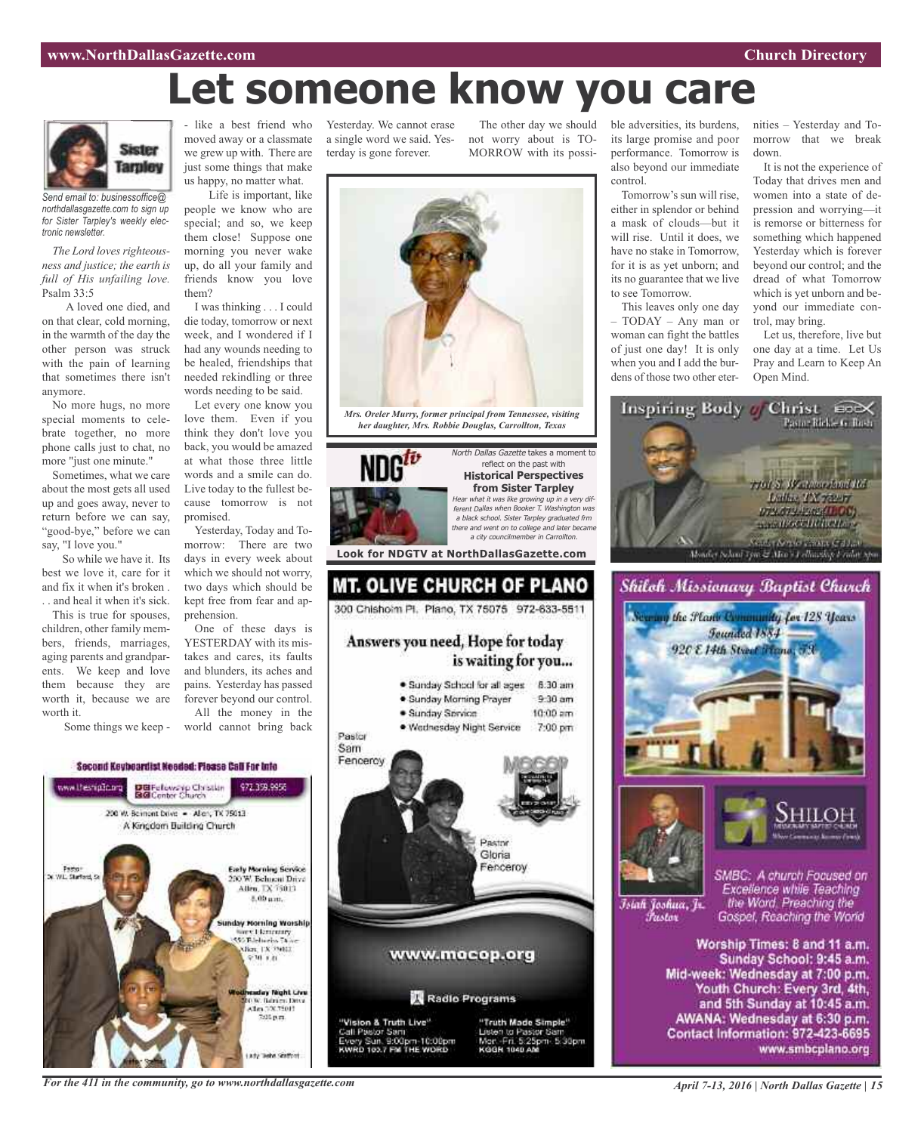### **www.NorthDallasGazette.com Church Directory**

# **Let someone know you care**



*Send email to: businessoffice@ northdallasgazette.com to sign up for Sister Tarpley's weekly electronic newsletter.*

*The Lord loves righteousness and justice; the earth is full of His unfailing love.* Psalm 33:5

A loved one died, and on that clear, cold morning, in the warmth of the day the other person was struck with the pain of learning that sometimes there isn't anymore.

No more hugs, no more special moments to celebrate together, no more phone calls just to chat, no more "just one minute."

Sometimes, what we care about the most gets all used up and goes away, never to return before we can say, "good-bye," before we can say, "I love you."

So while we have it. Its best we love it, care for it and fix it when it's broken . . . and heal it when it's sick.

This is true for spouses, children, other family members, friends, marriages, aging parents and grandparents. We keep and love them because they are worth it, because we are worth it.

Some things we keep -

- like a best friend who moved away or a classmate we grew up with. There are just some things that make us happy, no matter what.

Life is important, like people we know who are special; and so, we keep them close! Suppose one morning you never wake up, do all your family and friends know you love them?

I was thinking . . . I could die today, tomorrow or next week, and I wondered if I had any wounds needing to be healed, friendships that needed rekindling or three words needing to be said.

Let every one know you love them. Even if you think they don't love you back, you would be amazed at what those three little words and a smile can do. Live today to the fullest because tomorrow is not promised.

Yesterday, Today and Tomorrow: There are two days in every week about which we should not worry, two days which should be kept free from fear and apprehension.

One of these days is YESTERDAY with its mistakes and cares, its faults and blunders, its aches and pains. Yesterday has passed forever beyond our control. All the money in the

world cannot bring back

Second Keybeardist Needed: Please Call For Into www.lhesnipTo.org DBFelowskip Christian<br>BGConter Church 977 778 0058 200 W. Bernont Dove - Allery, TX 75013 A Kingdom Building Church **Early Morning Service** Fasto"<br>Surfact, S 200 W. Behneni Drive<br>Allen, TX 75013 8.00 um. Inday Morning Worship Stereo Librariary<br>SSO Babbaros Thom 9:30 0.01 eaday Night Chu<br>0.9: Banim Dive<br>8.1m (120.1501)<br>- 200 p.m. arty Tashe Grafford

Yesterday. We cannot erase a single word we said. Yesterday is gone forever.

not worry about is TO-MORROW with its possi-



The other day we should ble adversities, its burdens, its large promise and poor performance. Tomorrow is also beyond our immediate control.

> Tomorrow's sun will rise, either in splendor or behind a mask of clouds—but it will rise. Until it does, we have no stake in Tomorrow, for it is as yet unborn; and its no guarantee that we live to see Tomorrow.

> This leaves only one day – TODAY – Any man or woman can fight the battles of just one day! It is only when you and I add the burdens of those two other eter

nities – Yesterday and Tomorrow that we break down.

It is not the experience of Today that drives men and women into a state of depression and worrying—it is remorse or bitterness for something which happened Yesterday which is forever beyond our control; and the dread of what Tomorrow which is yet unborn and beyond our immediate control, may bring.

Let us, therefore, live but one day at a time. Let Us Pray and Learn to Keep An Open Mind.









Islah Joshua, Jr. Fustor

SMBC: A church Focused on Excellence while Teaching the Word. Preaching the Gospel, Reaching the World

Worship Times: 8 and 11 a.m. Sunday School: 9:45 a.m. Mid-week: Wednesday at 7:00 p.m. Youth Church: Every 3rd, 4th, and 5th Sunday at 10:45 a.m. AWANA: Wednesday at 6:30 p.m. Contact Information: 972-423-6695 www.smbcplano.org